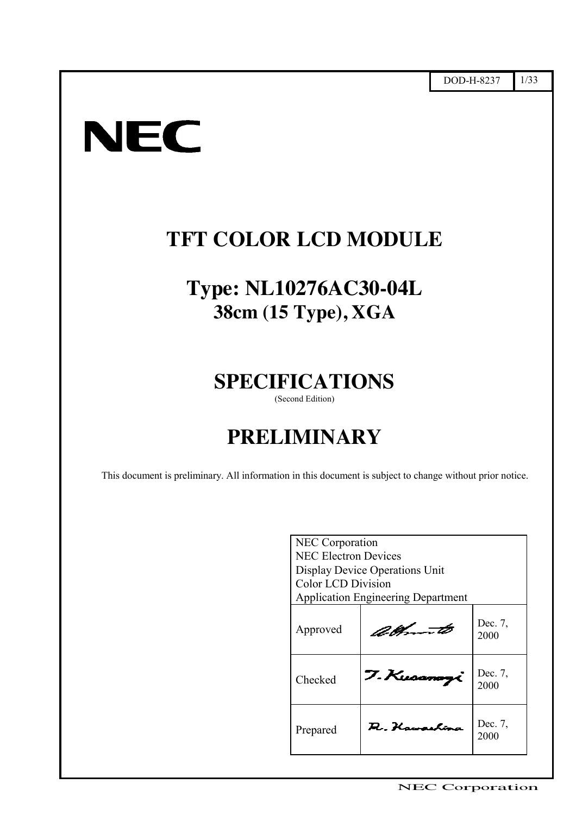# **NEC**

ޓޓ

# **TFT COLOR LCD MODULE**

# **Type: NL10276AC30-04L 38cm (15 Type), XGA**

# **SPECIFICATIONS** (Second Edition)

# **PRELIMINARY**

ޓޓޓޓޓޓޓޓޓޓޓޓޓޓޓޓޓޓޓޓޓޓޓޓޓޓޓޓޓޓޓޓ

This document is preliminary. All information in this document is subject to change without prior notice.

| NEC Corporation             |                                           |                 |  |  |
|-----------------------------|-------------------------------------------|-----------------|--|--|
| <b>NEC Electron Devices</b> |                                           |                 |  |  |
|                             | Display Device Operations Unit            |                 |  |  |
| <b>Color LCD Division</b>   |                                           |                 |  |  |
|                             | <b>Application Engineering Department</b> |                 |  |  |
| Approved                    | albom to                                  | Dec. 7,<br>2000 |  |  |
| Checked                     | 7. Kuoana                                 | Dec. 7,<br>2000 |  |  |
| Prepared                    | A. Hawashira                              | Dec. 7,<br>2000 |  |  |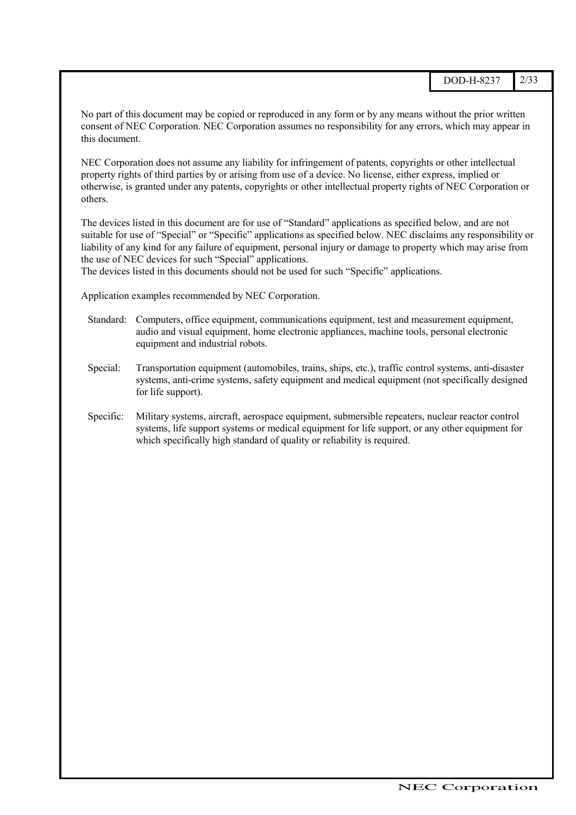No part of this document may be copied or reproduced in any form or by any means without the prior written consent of NEC Corporation. NEC Corporation assumes no responsibility for any errors, which may appear in this document.

NEC Corporation does not assume any liability for infringement of patents, copyrights or other intellectual property rights of third parties by or arising from use of a device. No license, either express, implied or otherwise, is granted under any patents, copyrights or other intellectual property rights of NEC Corporation or others.

The devices listed in this document are for use of "Standard" applications as specified below, and are not suitable for use of "Special" or "Specific" applications as specified below. NEC disclaims any responsibility or liability of any kind for any failure of equipment, personal injury or damage to property which may arise from the use of NEC devices for such "Special" applications.

The devices listed in this documents should not be used for such "Specific" applications.

Application examples recommended by NEC Corporation.

- Standard: Computers, office equipment, communications equipment, test and measurement equipment, audio and visual equipment, home electronic appliances, machine tools, personal electronic equipment and industrial robots.
- Special: Transportation equipment (automobiles, trains, ships, etc.), traffic control systems, anti-disaster systems, anti-crime systems, safety equipment and medical equipment (not specifically designed for life support).
- Specific: Military systems, aircraft, aerospace equipment, submersible repeaters, nuclear reactor control systems, life support systems or medical equipment for life support, or any other equipment for which specifically high standard of quality or reliability is required.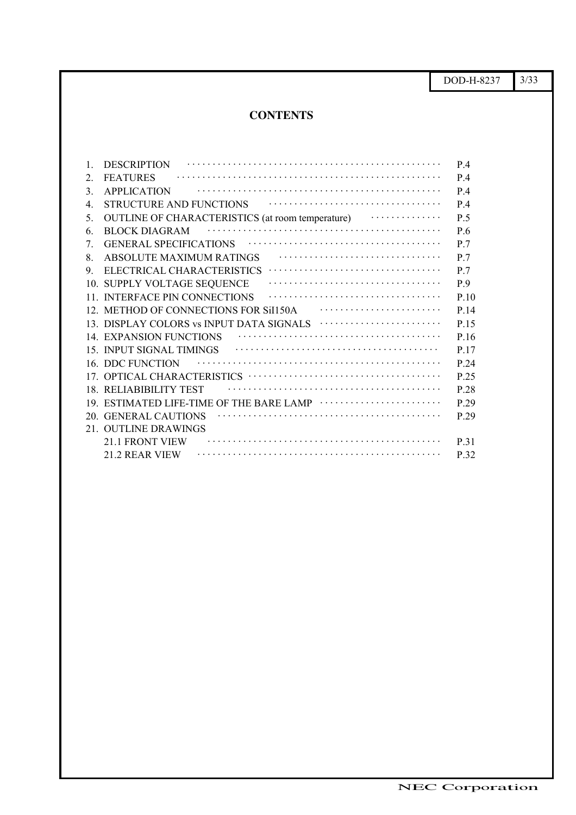DOD-H-8237 3/33

#### **CONTENTS**ޓޓޓޓޓޓޓޓޓޓޓޓޓޓ ޓޓޓޓޓޓޓޓޓޓޓޓޓޓ

| 1.            | <b>DESCRIPTION</b>                                           | P.4            |
|---------------|--------------------------------------------------------------|----------------|
| 2             | <b>FEATURES</b>                                              | P.4            |
| $\mathcal{E}$ | <b>APPLICATION</b>                                           | P.4            |
| 4             | <b>STRUCTURE AND FUNCTIONS</b>                               | P.4            |
| .5            | $\cdots$<br>OUTLINE OF CHARACTERISTICS (at room temperature) | P 5            |
| 6.            | <b>BLOCK DIAGRAM</b>                                         | P.6            |
| 7             | <b>GENERAL SPECIFICATIONS</b>                                | P 7            |
| 8             | ABSOLUTE MAXIMUM RATINGS                                     | P <sub>7</sub> |
| 9             | ELECTRICAL CHARACTERISTICS                                   | P.7            |
|               | 10. SUPPLY VOLTAGE SEQUENCE                                  | P.9            |
|               | 11. INTERFACE PIN CONNECTIONS                                | P.10           |
|               | 12. METHOD OF CONNECTIONS FOR Sil150A <i></i>                | P.14           |
|               | 13. DISPLAY COLORS vs INPUT DATA SIGNALS                     | P 15           |
|               | 14. EXPANSION FUNCTIONS                                      | P 16           |
|               | 15. INPUT SIGNAL TIMINGS                                     | P.17           |
|               | 16. DDC FUNCTION                                             | P 24           |
|               |                                                              | P.25           |
|               | 18. RELIABIBILITY TEST                                       | P.28           |
|               | 19. ESTIMATED LIFE-TIME OF THE BARE LAMP                     | P.29           |
|               | 20. GENERAL CAUTIONS                                         | P.29           |
|               | 21. OUTLINE DRAWINGS                                         |                |
|               | 21.1 FRONT VIEW                                              | P 31           |
|               | 21.2 REAR VIEW                                               | P.32           |
|               |                                                              |                |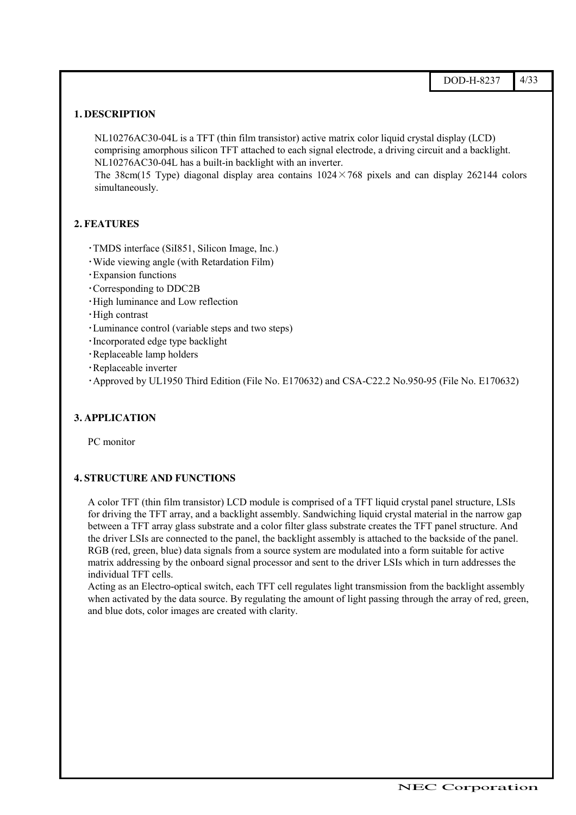#### **1. DESCRIPTION**

NL10276AC30-04L is a TFT (thin film transistor) active matrix color liquid crystal display (LCD) comprising amorphous silicon TFT attached to each signal electrode, a driving circuit and a backlight. NL10276AC30-04L has a built-in backlight with an inverter.

The 38cm(15 Type) diagonal display area contains  $1024 \times 768$  pixels and can display 262144 colors simultaneously.

#### **2. FEATURES**

- 㨯TMDS interface (SiI851, Silicon Image, Inc.)
- 㨯Wide viewing angle (with Retardation Film)
- 㨯Expansion functions
- 㨯Corresponding to DDC2B
- High luminance and Low reflection
- · High contrast
- 㨯Luminance control (variable steps and two steps)
- Incorporated edge type backlight
- · Replaceable lamp holders
- 㨯Replaceable inverter

Approved by UL1950 Third Edition (File No. E170632) and CSA-C22.2 No.950-95 (File No. E170632)

#### **3. APPLICATION**

PC monitor

#### **4. STRUCTURE AND FUNCTIONS**

A color TFT (thin film transistor) LCD module is comprised of a TFT liquid crystal panel structure, LSIs for driving the TFT array, and a backlight assembly. Sandwiching liquid crystal material in the narrow gap between a TFT array glass substrate and a color filter glass substrate creates the TFT panel structure. And the driver LSIs are connected to the panel, the backlight assembly is attached to the backside of the panel. RGB (red, green, blue) data signals from a source system are modulated into a form suitable for active matrix addressing by the onboard signal processor and sent to the driver LSIs which in turn addresses the individual TFT cells.

Acting as an Electro-optical switch, each TFT cell regulates light transmission from the backlight assembly when activated by the data source. By regulating the amount of light passing through the array of red, green, and blue dots, color images are created with clarity.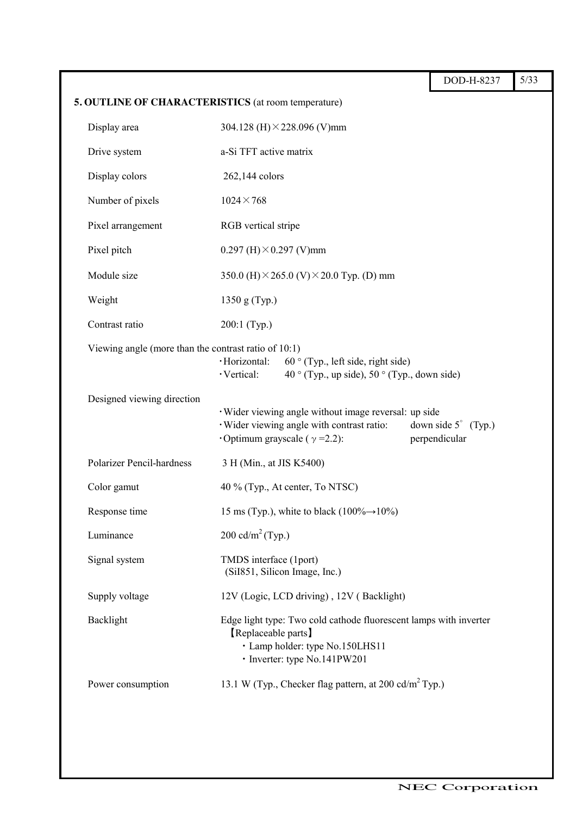|                                                      |                                                                                                                                                             | DOD-H-8237                                    | 5/33 |  |  |  |
|------------------------------------------------------|-------------------------------------------------------------------------------------------------------------------------------------------------------------|-----------------------------------------------|------|--|--|--|
|                                                      | 5. OUTLINE OF CHARACTERISTICS (at room temperature)                                                                                                         |                                               |      |  |  |  |
| Display area                                         | 304.128 (H) $\times$ 228.096 (V)mm                                                                                                                          |                                               |      |  |  |  |
| Drive system                                         | a-Si TFT active matrix                                                                                                                                      |                                               |      |  |  |  |
| Display colors                                       | 262,144 colors                                                                                                                                              |                                               |      |  |  |  |
| Number of pixels                                     | $1024 \times 768$                                                                                                                                           |                                               |      |  |  |  |
| Pixel arrangement                                    | RGB vertical stripe                                                                                                                                         |                                               |      |  |  |  |
| Pixel pitch                                          | 0.297 (H) $\times$ 0.297 (V)mm                                                                                                                              |                                               |      |  |  |  |
| Module size                                          | 350.0 (H) $\times$ 265.0 (V) $\times$ 20.0 Typ. (D) mm                                                                                                      |                                               |      |  |  |  |
| Weight                                               | 1350 g (Typ.)                                                                                                                                               |                                               |      |  |  |  |
| Contrast ratio                                       | 200:1 (Typ.)                                                                                                                                                |                                               |      |  |  |  |
| Viewing angle (more than the contrast ratio of 10:1) | ·Horizontal:<br>$60^\circ$ (Typ., left side, right side)<br>$40^{\circ}$ (Typ., up side), $50^{\circ}$ (Typ., down side)<br>· Vertical:                     |                                               |      |  |  |  |
| Designed viewing direction                           | · Wider viewing angle without image reversal: up side<br>· Wider viewing angle with contrast ratio:<br>Optimum grayscale ( $\gamma$ =2.2):                  | down side $5^{\circ}$ (Typ.)<br>perpendicular |      |  |  |  |
| Polarizer Pencil-hardness                            | 3 H (Min., at JIS K5400)                                                                                                                                    |                                               |      |  |  |  |
| Color gamut                                          | 40 % (Typ., At center, To NTSC)                                                                                                                             |                                               |      |  |  |  |
| Response time                                        | 15 ms (Typ.), white to black (100% $\rightarrow$ 10%)                                                                                                       |                                               |      |  |  |  |
| Luminance                                            | 200 cd/m <sup>2</sup> (Typ.)                                                                                                                                |                                               |      |  |  |  |
| Signal system                                        | TMDS interface (1port)<br>(SiI851, Silicon Image, Inc.)                                                                                                     |                                               |      |  |  |  |
| Supply voltage                                       | 12V (Logic, LCD driving), 12V (Backlight)                                                                                                                   |                                               |      |  |  |  |
| Backlight                                            | Edge light type: Two cold cathode fluorescent lamps with inverter<br>[Replaceable parts]<br>· Lamp holder: type No.150LHS11<br>· Inverter: type No.141PW201 |                                               |      |  |  |  |
| Power consumption                                    | 13.1 W (Typ., Checker flag pattern, at 200 cd/m <sup>2</sup> Typ.)                                                                                          |                                               |      |  |  |  |
|                                                      |                                                                                                                                                             |                                               |      |  |  |  |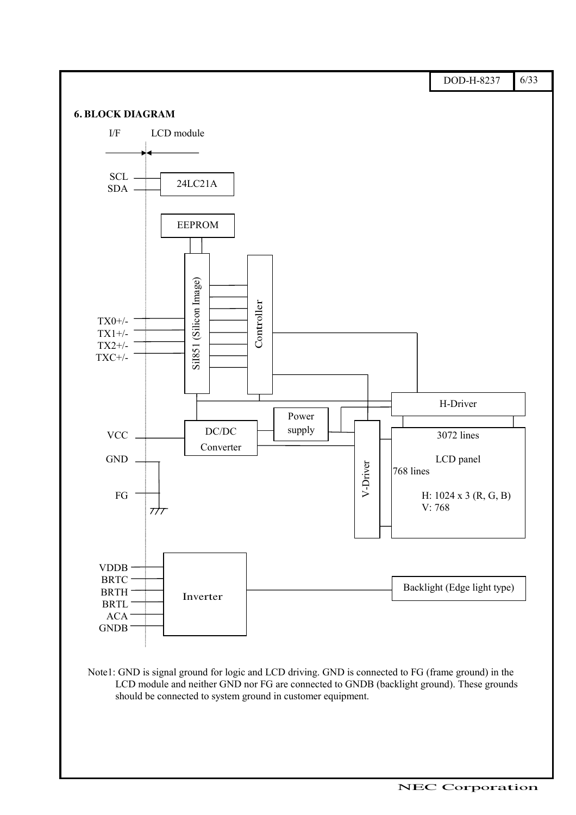

Note1: GND is signal ground for logic and LCD driving. GND is connected to FG (frame ground) in the LCD module and neither GND nor FG are connected to GNDB (backlight ground). These grounds should be connected to system ground in customer equipment.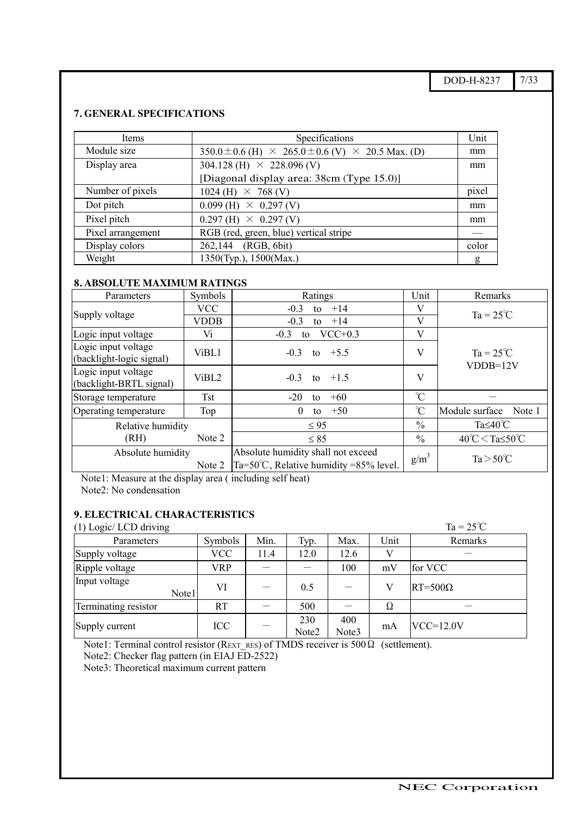$DOD-H-8237$  7/33

## **7. GENERAL SPECIFICATIONS**

| Items             | Specifications                                                          | Unit  |
|-------------------|-------------------------------------------------------------------------|-------|
| Module size       | $350.0 \pm 0.6$ (H) $\times$ 265.0 $\pm$ 0.6 (V) $\times$ 20.5 Max. (D) | mm    |
| Display area      | 304.128 (H) $\times$ 228.096 (V)                                        | mm    |
|                   | [Diagonal display area: 38cm (Type 15.0)]                               |       |
| Number of pixels  | $1024$ (H) $\times$ 768 (V)                                             | pixel |
| Dot pitch         | $0.099$ (H)<br>$\times$ 0.297 (V)                                       | mm    |
| Pixel pitch       | $\times$ 0.297 (V)<br>$0.297$ (H)                                       | mm    |
| Pixel arrangement | RGB (red, green, blue) vertical stripe                                  |       |
| Display colors    | (RGB, 6bit)<br>262,144                                                  | color |
| Weight            | 1350(Typ.), 1500(Max.)                                                  | g     |

### **8. ABSOLUTE MAXIMUM RATINGS**

| Parameters                                      | Symbols    | Ratings                                                                                | Unit          | Remarks                             |
|-------------------------------------------------|------------|----------------------------------------------------------------------------------------|---------------|-------------------------------------|
|                                                 | <b>VCC</b> | $-0.3$<br>$+14$<br>to                                                                  | V             | $Ta = 25^{\circ}C$                  |
| Supply voltage                                  | VDDB       | $-0.3$<br>$+14$<br>to                                                                  | V             |                                     |
| Logic input voltage                             | Vi         | $VCC+0.3$<br>$-0.3$<br>to                                                              | V             |                                     |
| Logic input voltage<br>(backlight-logic signal) | ViBL1      | $-0.3$<br>to $+5.5$                                                                    | V             | $Ta = 25^{\circ}C$<br>$VDDB=12V$    |
| Logic input voltage<br>(backlight-BRTL signal)  | ViBL2      | to $+1.5$<br>$-0.3$                                                                    | V             |                                     |
| Storage temperature                             | <b>Tst</b> | $+60$<br>$-20$<br>to                                                                   | $\mathcal{C}$ |                                     |
| Operating temperature                           | Top        | $+50$<br>$\theta$<br>to                                                                | $\mathcal{C}$ | Module surface<br>Note 1            |
| Relative humidity                               |            | $\leq 95$                                                                              | $\frac{0}{0}$ | Ta $\leq 40^{\circ}$ C              |
| (RH)                                            | Note 2     | $\leq 85$                                                                              | $\%$          | $40^{\circ}$ C < Ta≤50 $^{\circ}$ C |
| Absolute humidity<br>Note 2                     |            | Absolute humidity shall not exceed<br>Ta=50 $\degree$ C, Relative humidity =85% level. | $g/m^3$       | $Ta > 50^{\circ}C$                  |

Note1: Measure at the display area ( including self heat)

Note2: No condensation

#### **9. ELECTRICAL CHARACTERISTICS**

#### (1) Logic/ LCD driving  $T_a = 25^\circ C$

| $(1)$ LOSIC LCD diving |       |            |      |              |              |      | $\mathbf{u}$ $\mathbf{v}$ |
|------------------------|-------|------------|------|--------------|--------------|------|---------------------------|
| Parameters             |       | Symbols    | Min. | Typ.         | Max.         | Unit | Remarks                   |
| Supply voltage         |       | <b>VCC</b> | 11.4 | 12.0         | 12.6         |      |                           |
| Ripple voltage         |       | VRP        |      |              | 100          | mV   | for VCC                   |
| Input voltage          | Note1 | VI         |      | 0.5          |              | V    | $RT = 500\Omega$          |
| Terminating resistor   |       | RT         |      | 500          |              | Ω    |                           |
| Supply current         |       | ICC        |      | 230<br>Note2 | 400<br>Note3 | mA   | $VCC=12.0V$               |

Note1: Terminal control resistor ( $R_{\text{EXT}}$ <sub>RES</sub>) of TMDS receiver is 500 $\Omega$  (settlement).

ޓޓޓޓޓޓޓޓޓޓޓޓޓޓޓޓޓޓޓޓޓޓޓޓޓޓޓޓޓޓޓޓ

Note2: Checker flag pattern (in EIAJ ED-2522)

Note3: Theoretical maximum current pattern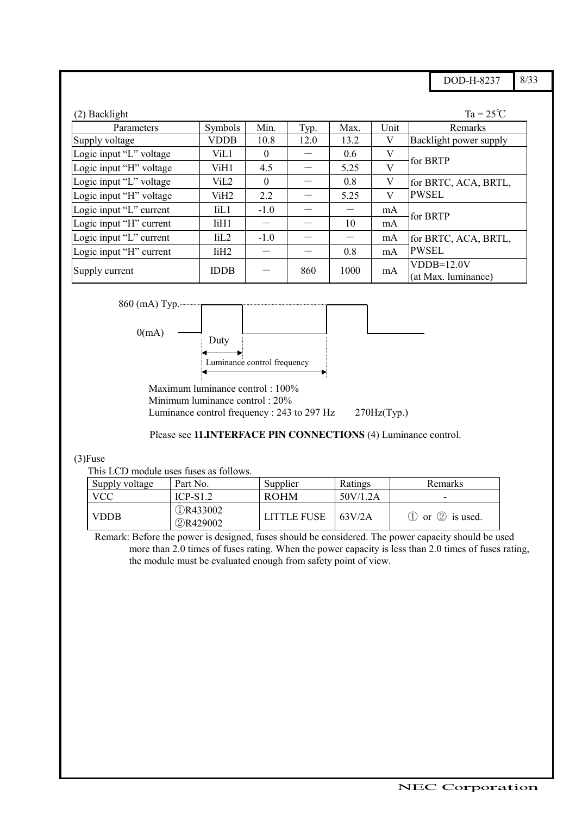$DOD-H-8237$  8/33

| (2) Backlight           |                    |          |      |      |      | $Ta = 25^{\circ}C$                   |  |
|-------------------------|--------------------|----------|------|------|------|--------------------------------------|--|
| Parameters              | Symbols            | Min.     | Typ. | Max. | Unit | Remarks                              |  |
| Supply voltage          | <b>VDDB</b>        | 10.8     | 12.0 | 13.2 | V    | Backlight power supply               |  |
| Logic input "L" voltage | ViL1               | $\theta$ |      | 0.6  | V    |                                      |  |
| Logic input "H" voltage | ViH1               | 4.5      |      | 5.25 | V    | for BRTP                             |  |
| Logic input "L" voltage | ViL <sub>2</sub>   | $\theta$ |      | 0.8  | V    | for BRTC, ACA, BRTL,<br><b>PWSEL</b> |  |
| Logic input "H" voltage | ViH <sub>2</sub>   | 2.2      |      | 5.25 | V    |                                      |  |
| Logic input "L" current | IiL1               | $-1.0$   |      |      | mA   |                                      |  |
| Logic input "H" current | $I$ i $H1$         |          |      | 10   | mA   | for BRTP                             |  |
| Logic input "L" current | $\overline{11}$ .2 | $-1.0$   |      |      | mA   | for BRTC, ACA, BRTL,                 |  |
| Logic input "H" current | IiH <sub>2</sub>   |          |      | 0.8  | mA   | <b>PWSEL</b>                         |  |
| Supply current          | <b>IDDB</b>        |          | 860  | 1000 | mA   | $VDDB=12.0V$<br>(at Max. luminance)  |  |

$$
860 \text{ (mA) Type.}
$$



ޓޓޓޓޓޓޓޓޓޓޓޓޓޓޓޓޓޓޓޓޓޓޓޓޓޓޓޓޓޓޓޓ

Maximum luminance control : 100% Minimum luminance control : 20% Luminance control frequency : 243 to 297 Hz  $270\text{Hz}$ (Typ.)

#### Please see **11.INTERFACE PIN CONNECTIONS** (4) Luminance control.

#### (3)Fuse

This LCD module uses fuses as follows.

| Supply voltage | Part No.                    | Supplier           | Ratings  | Remarks                                 |
|----------------|-----------------------------|--------------------|----------|-----------------------------------------|
| <b>VCC</b>     | $ICP-S12$                   | <b>ROHM</b>        | 50V/1.2A |                                         |
| <b>VDDB</b>    | <b>QR433002</b><br>2R429002 | <b>LITTLE FUSE</b> | 63V/2A   | $\circled{1}$ or $\circled{2}$ is used. |

Remark: Before the power is designed, fuses should be considered. The power capacity should be used more than 2.0 times of fuses rating. When the power capacity is less than 2.0 times of fuses rating, the module must be evaluated enough from safety point of view.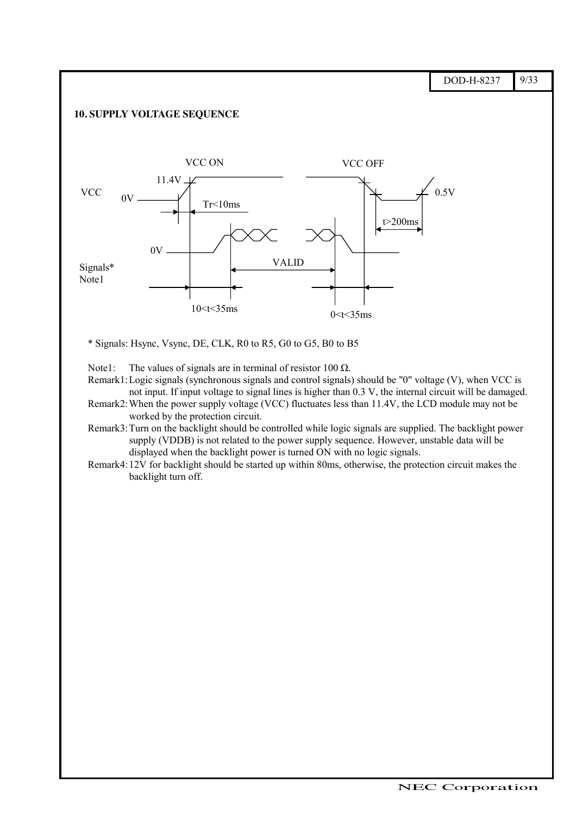$DOD-H-8237$  9/33 **10. SUPPLY VOLTAGE SEQUENCE** VALID t>200ms  $0.5V$ VCC OFF 10 $lt$  35ms 0 $lt$  35ms VCC ON  $11.4V$  $\perp$  $0V$ .  $0V =$  $Tr<10ms$ **VCC** Signals\* Note1

\* Signals: Hsync, Vsync, DE, CLK, R0 to R5, G0 to G5, B0 to B5

Note1: The values of signals are in terminal of resistor 100  $\Omega$ .

ޓޓޓޓޓޓޓޓޓޓޓޓޓޓޓޓޓޓޓޓޓޓޓޓޓޓޓޓޓޓޓޓ

- Remark1:Logic signals (synchronous signals and control signals) should be "0" voltage (V), when VCC is not input. If input voltage to signal lines is higher than 0.3 V, the internal circuit will be damaged.
- Remark2:When the power supply voltage (VCC) fluctuates less than 11.4V, the LCD module may not be worked by the protection circuit.
- Remark3:Turn on the backlight should be controlled while logic signals are supplied. The backlight power supply (VDDB) is not related to the power supply sequence. However, unstable data will be displayed when the backlight power is turned ON with no logic signals.
- Remark4:12V for backlight should be started up within 80ms, otherwise, the protection circuit makes the backlight turn off.

ޓޓޓޓޓޓޓޓޓޓޓޓޓޓޓޓޓޓޓޓޓޓޓޓޓޓޓޓޓޓޓޓޓޓޓޓޓޓޓޓޓޓޓޓޓޓޓޓޓޓޓ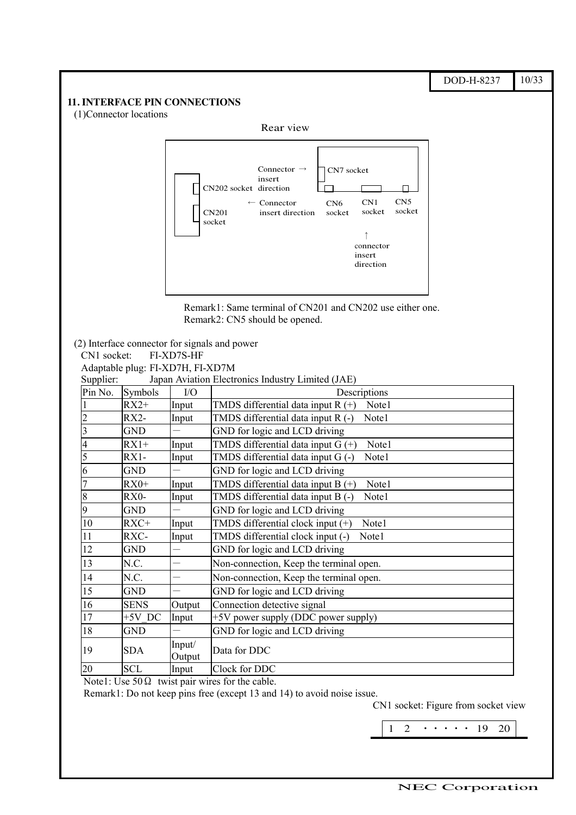#### DOD-H-8237 10/33 **11. INTERFACE PIN CONNECTIONS** (1)Connector locations Rear view Connector  $\rightarrow$  CN7 socket insert CN202 socket direction  $\Box$ CN5  $\leftarrow$  Connector CN6 CN1 CN201 insert direction socketsocket socket socket  $\uparrow$ connector insert direction Remark1: Same terminal of CN201 and CN202 use either one. Remark2: CN5 should be opened.

| (2) Interface connector for signals and power |                           |                          |                                                                           |  |  |  |  |
|-----------------------------------------------|---------------------------|--------------------------|---------------------------------------------------------------------------|--|--|--|--|
|                                               | CN1 socket:<br>FI-XD7S-HF |                          |                                                                           |  |  |  |  |
| Adaptable plug: FI-XD7H, FI-XD7M              |                           |                          |                                                                           |  |  |  |  |
| Supplier:                                     |                           |                          | Japan Aviation Electronics Industry Limited (JAE)                         |  |  |  |  |
| Pin No.                                       | Symbols                   | I/O                      | Descriptions                                                              |  |  |  |  |
|                                               | $RX2+$                    | Input                    | TMDS differential data input $R (+)$<br>Note1                             |  |  |  |  |
| $\overline{c}$                                | $RX2-$                    | Input                    | TMDS differential data input R (-)<br>Note1                               |  |  |  |  |
| 3                                             | <b>GND</b>                |                          | GND for logic and LCD driving                                             |  |  |  |  |
| 4                                             | $RX1+$                    | Input                    | TMDS differential data input $G$ (+)<br>Note1                             |  |  |  |  |
| 5                                             | $RX1-$                    | Input                    | TMDS differential data input G (-)<br>Note1                               |  |  |  |  |
| 6                                             | GND                       |                          | GND for logic and LCD driving                                             |  |  |  |  |
| 7                                             | $RX0+$                    | Input                    | TMDS differential data input B (+)<br>Note1                               |  |  |  |  |
| 8                                             | RX0-                      | Input                    | TMDS differential data input B (-)<br>Note1                               |  |  |  |  |
| 9                                             | GND                       |                          | GND for logic and LCD driving                                             |  |  |  |  |
| 10                                            | RXC+                      | Input                    | TMDS differential clock input (+)<br>Note1                                |  |  |  |  |
| 11                                            | RXC-                      | Input                    | TMDS differential clock input (-)<br>Note1                                |  |  |  |  |
| 12                                            | GND                       |                          | GND for logic and LCD driving                                             |  |  |  |  |
| 13                                            | N.C.                      | $\overline{\phantom{0}}$ | Non-connection, Keep the terminal open.                                   |  |  |  |  |
| 14                                            | N.C.                      | $\overline{\phantom{0}}$ | Non-connection, Keep the terminal open.                                   |  |  |  |  |
| 15                                            | <b>GND</b>                |                          | GND for logic and LCD driving                                             |  |  |  |  |
| 16                                            | <b>SENS</b>               | Output                   | Connection detective signal                                               |  |  |  |  |
| 17                                            | $+5V$ DC                  | Input                    | +5V power supply (DDC power supply)                                       |  |  |  |  |
| 18                                            | <b>GND</b>                |                          | GND for logic and LCD driving                                             |  |  |  |  |
| 19                                            | <b>SDA</b>                | Input/<br>Output         | Data for DDC                                                              |  |  |  |  |
| 20                                            | <b>SCL</b>                | Input                    | Clock for DDC                                                             |  |  |  |  |
|                                               |                           |                          | $N_{\text{obs}} 1$ . $N_{\text{obs}} 500$ truict nois wises for the solds |  |  |  |  |

Note1: Use  $50\Omega$  twist pair wires for the cable.

Remark1: Do not keep pins free (except 13 and 14) to avoid noise issue.

ޓޓޓޓޓޓޓޓޓޓޓޓޓޓޓޓޓޓޓޓޓޓޓޓޓޓޓޓޓޓޓޓ

CN1 socket: Figure from socket view

 $1\quad 2\quad \cdots \quad 19\quad 20$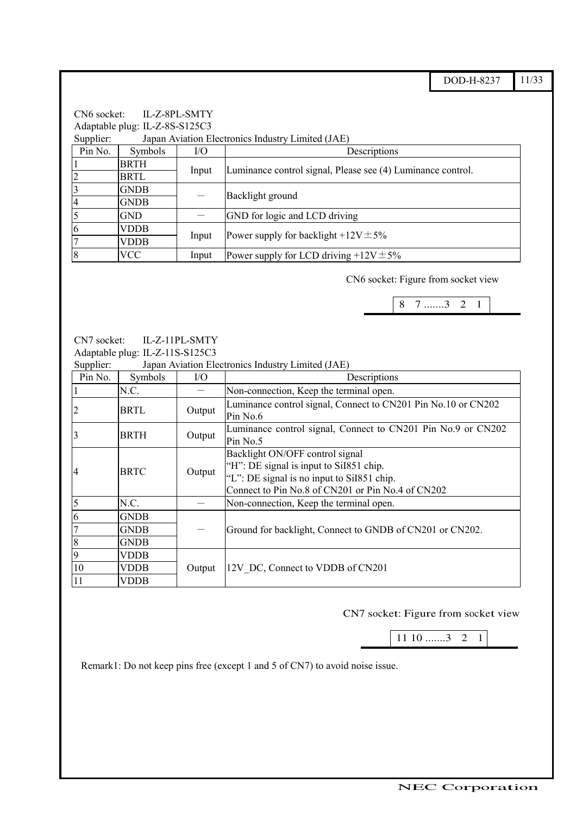DOD-H-8237 11/33

CN6 socket: IL-Z-8PL-SMTY Adaptable plug: IL-Z-8S-S125C3 Supplier: Japan Aviation Electronics Industry Limited (JAE) Pin No. Symbols I/O Descriptions **BRTH** <sup>1</sup> BRTL Input Luminance control signal, Please see (4) Luminance control. 3 GNDB  $\frac{3}{4}$  GNDB  $-$  Backlight ground  $5$  GND  $\sim$  GND for logic and LCD driving 6 VDDB<br>7 VDDB  $\overline{YDDB}$  Input Power supply for backlight +12V $\pm$ 5% 8  $|VCC|$  Input Power supply for LCD driving +12V $\pm$ 5%

CN6 socket: Figure from socket view

|--|

CN7 socket: IL-Z-11PL-SMTY Adaptable plug: IL-Z-11S-S125C3

Supplier: Japan Aviation Electronics Industry Limited (JAE)

| Pin No.      | Symbols     | $IO$   | Descriptions                                                                                                                                                                  |  |  |  |
|--------------|-------------|--------|-------------------------------------------------------------------------------------------------------------------------------------------------------------------------------|--|--|--|
|              | N.C.        |        | Non-connection, Keep the terminal open.                                                                                                                                       |  |  |  |
|              | <b>BRTL</b> | Output | Luminance control signal, Connect to CN201 Pin No.10 or CN202<br>Pin No.6                                                                                                     |  |  |  |
|              | <b>BRTH</b> | Output | Luminance control signal, Connect to CN201 Pin No.9 or CN202<br>Pin No.5                                                                                                      |  |  |  |
| <b>4</b>     | <b>BRTC</b> | Output | Backlight ON/OFF control signal<br>"H": DE signal is input to Sil851 chip.<br>"L": DE signal is no input to Sil851 chip.<br>Connect to Pin No.8 of CN201 or Pin No.4 of CN202 |  |  |  |
| 5            | N.C.        |        | Non-connection, Keep the terminal open.                                                                                                                                       |  |  |  |
| 6            | <b>GNDB</b> |        |                                                                                                                                                                               |  |  |  |
|              | <b>GNDB</b> |        | Ground for backlight, Connect to GNDB of CN201 or CN202.                                                                                                                      |  |  |  |
| 8            | <b>GNDB</b> |        |                                                                                                                                                                               |  |  |  |
| $\mathbf{Q}$ | VDDB        |        |                                                                                                                                                                               |  |  |  |
| 10           | <b>VDDB</b> | Output | 12V DC, Connect to VDDB of CN201                                                                                                                                              |  |  |  |
| 11           | VDDB        |        |                                                                                                                                                                               |  |  |  |

CN7 socket: Figure from socket view

11 10 .......3 2 1

Remark1: Do not keep pins free (except 1 and 5 of CN7) to avoid noise issue.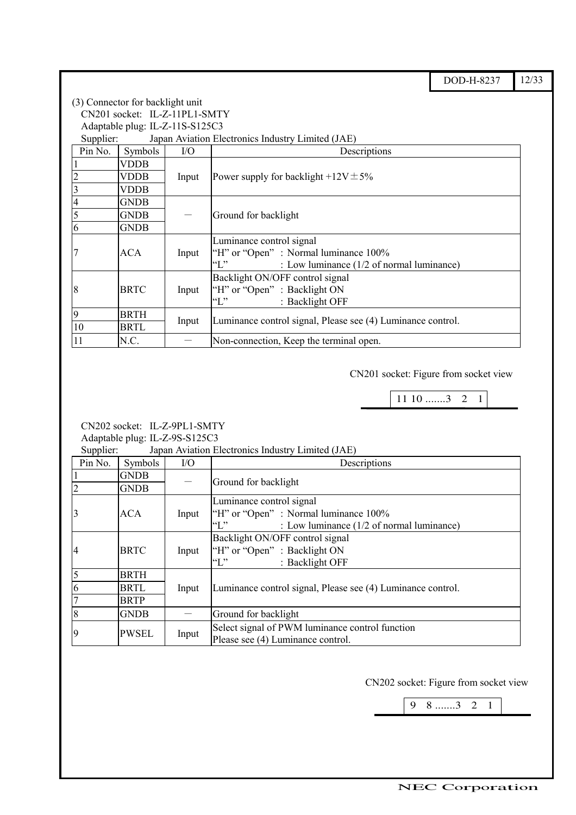DOD-H-8237 12/33

|         | (3) Connector for backlight unit                               |           |                                                                   |  |  |  |  |  |  |
|---------|----------------------------------------------------------------|-----------|-------------------------------------------------------------------|--|--|--|--|--|--|
|         | CN201 socket: IL-Z-11PL1-SMTY                                  |           |                                                                   |  |  |  |  |  |  |
|         | Adaptable plug: IL-Z-11S-S125C3                                |           |                                                                   |  |  |  |  |  |  |
|         | Japan Aviation Electronics Industry Limited (JAE)<br>Supplier: |           |                                                                   |  |  |  |  |  |  |
| Pin No. | Symbols                                                        | $\rm I/O$ | Descriptions                                                      |  |  |  |  |  |  |
|         | VDDB                                                           |           |                                                                   |  |  |  |  |  |  |
|         | VDDB                                                           | Input     | Power supply for backlight $+12V \pm 5\%$                         |  |  |  |  |  |  |
|         | VDDB                                                           |           |                                                                   |  |  |  |  |  |  |
|         | <b>GNDB</b>                                                    |           |                                                                   |  |  |  |  |  |  |
| 5       | <b>GNDB</b>                                                    |           | Ground for backlight                                              |  |  |  |  |  |  |
| 6       | <b>GNDB</b>                                                    |           |                                                                   |  |  |  |  |  |  |
|         |                                                                |           | Luminance control signal                                          |  |  |  |  |  |  |
|         | ACA                                                            | Input     | "H" or "Open": Normal luminance 100%                              |  |  |  |  |  |  |
|         |                                                                |           | $\lq\lq\lq\lq\lq\lq$<br>: Low luminance (1/2 of normal luminance) |  |  |  |  |  |  |
|         |                                                                |           | Backlight ON/OFF control signal                                   |  |  |  |  |  |  |
| 8       | <b>BRTC</b>                                                    | Input     | "H" or "Open" : Backlight ON                                      |  |  |  |  |  |  |
|         |                                                                |           | $\lq\lq\lq\lq\lq\lq$<br>: Backlight OFF                           |  |  |  |  |  |  |
| 9       | <b>BRTH</b>                                                    |           |                                                                   |  |  |  |  |  |  |
| 10      | <b>BRTL</b>                                                    | Input     | Luminance control signal, Please see (4) Luminance control.       |  |  |  |  |  |  |
| 11      | N.C.                                                           |           | Non-connection, Keep the terminal open.                           |  |  |  |  |  |  |

CN201 socket: Figure from socket view

 $\mathbf I$ 

 $11 10$  .......3 2 1

CN202 socket: IL-Z-9PL1-SMTY Adaptable plug: IL-Z-9S-S125C3

Japan Aviation Electronics Industry Limited (JAE)

ޓޓޓޓޓޓޓޓޓޓޓޓޓޓޓޓޓޓޓޓޓޓޓޓޓޓޓޓޓޓޓޓ

| $v$ uppn $v_i$ . |              |           | $J$ apart that the experimental matrix $J$ extends the $J$     |
|------------------|--------------|-----------|----------------------------------------------------------------|
| Pin No.          | Symbols      | $\rm I/O$ | Descriptions                                                   |
|                  | <b>GNDB</b>  |           | Ground for backlight                                           |
|                  | <b>GNDB</b>  |           |                                                                |
|                  |              |           | Luminance control signal                                       |
| 3                | ACA          | Input     | "H" or "Open": Normal luminance 100%                           |
|                  |              |           | $\lq\lq$ $\lq\lq$<br>: Low luminance (1/2 of normal luminance) |
|                  |              |           | Backlight ON/OFF control signal                                |
| 4                | <b>BRTC</b>  | Input     | "H" or "Open" : Backlight ON                                   |
|                  |              |           | $\lq\lq$ .<br>: Backlight OFF                                  |
| 5                | <b>BRTH</b>  |           |                                                                |
| 6                | <b>BRTL</b>  | Input     | Luminance control signal, Please see (4) Luminance control.    |
|                  | <b>BRTP</b>  |           |                                                                |
| 8                | <b>GNDB</b>  |           | Ground for backlight                                           |
| 19               | <b>PWSEL</b> |           | Select signal of PWM luminance control function                |
|                  |              | Input     | Please see (4) Luminance control.                              |

CN202 socket: Figure from socket view

9 8 .......3 2 1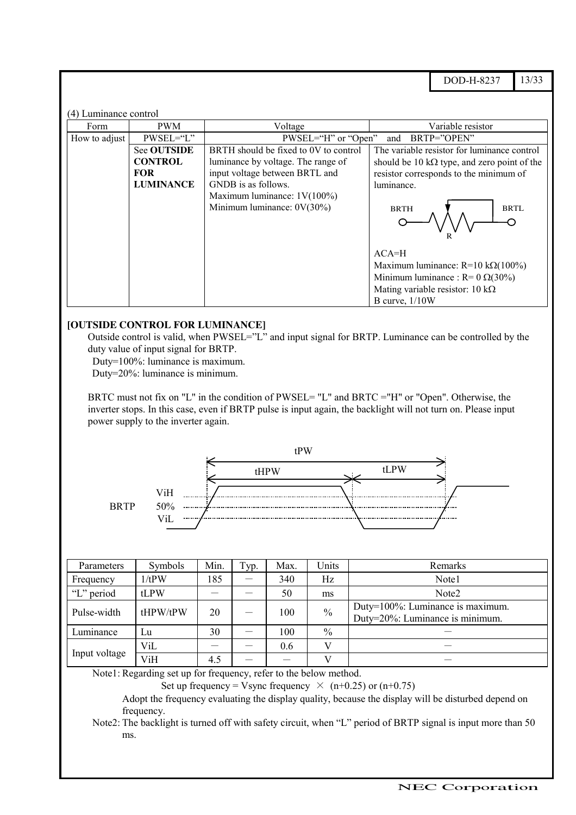DOD-H-8237 13/33

#### (4) Luminance control

ޓޓ

| Form          | <b>PWM</b>         | Voltage                               | Variable resistor                                   |
|---------------|--------------------|---------------------------------------|-----------------------------------------------------|
| How to adjust | $PWSEL="L"$        | PWSEL="H" or "Open"                   | BRTP="OPEN"<br>and                                  |
|               | <b>See OUTSIDE</b> | BRTH should be fixed to 0V to control | The variable resistor for luminance control         |
|               | <b>CONTROL</b>     | luminance by voltage. The range of    | should be 10 k $\Omega$ type, and zero point of the |
|               | <b>FOR</b>         | input voltage between BRTL and        | resistor corresponds to the minimum of              |
|               | <b>LUMINANCE</b>   | GNDB is as follows.                   | luminance.                                          |
|               |                    | Maximum luminance: $1V(100\%)$        |                                                     |
|               |                    | Minimum luminance: $0V(30\%)$         | <b>BRTL</b><br><b>BRTH</b>                          |
|               |                    |                                       |                                                     |
|               |                    |                                       | $ACA=H$                                             |
|               |                    |                                       | Maximum luminance: $R=10 k\Omega(100\%)$            |
|               |                    |                                       | Minimum luminance : $R = 0 \Omega(30\%)$            |
|               |                    |                                       | Mating variable resistor: 10 k $\Omega$             |
|               |                    |                                       | B curve, $1/10W$                                    |

#### **[OUTSIDE CONTROL FOR LUMINANCE]**

Outside control is valid, when PWSEL="L" and input signal for BRTP. Luminance can be controlled by the duty value of input signal for BRTP.

Duty=100%: luminance is maximum.

Duty=20%: luminance is minimum.

BRTC must not fix on "L" in the condition of PWSEL= "L" and BRTC ="H" or "Open". Otherwise, the inverter stops. In this case, even if BRTP pulse is input again, the backlight will not turn on. Please input power supply to the inverter again.



| Parameters    | Symbols  | Min. | Typ. | Max. | Units         | Remarks                                                             |
|---------------|----------|------|------|------|---------------|---------------------------------------------------------------------|
| Frequency     | 1/tPW    | 185  |      | 340  | Hz            | Note1                                                               |
| "L" period    | tLPW     |      |      | 50   | ms            | Note <sub>2</sub>                                                   |
| Pulse-width   | tHPW/tPW | 20   |      | 100  | $\frac{0}{0}$ | Duty=100%: Luminance is maximum.<br>Duty=20%: Luminance is minimum. |
| Luminance     | Lu       | 30   |      | 100  | $\frac{0}{0}$ |                                                                     |
|               | ViL      |      |      | 0.6  | $\mathbf{V}$  |                                                                     |
| Input voltage | ViH      | 4.5  |      |      |               |                                                                     |

Note1: Regarding set up for frequency, refer to the below method.

ޓޓޓޓޓޓޓޓޓޓޓޓޓޓޓޓޓޓޓޓޓޓޓޓޓޓޓޓޓޓޓޓ

Set up frequency = Vsync frequency  $\times$  (n+0.25) or (n+0.75)

Adopt the frequency evaluating the display quality, because the display will be disturbed depend on frequency.

Note2: The backlight is turned off with safety circuit, when "L" period of BRTP signal is input more than 50 ms.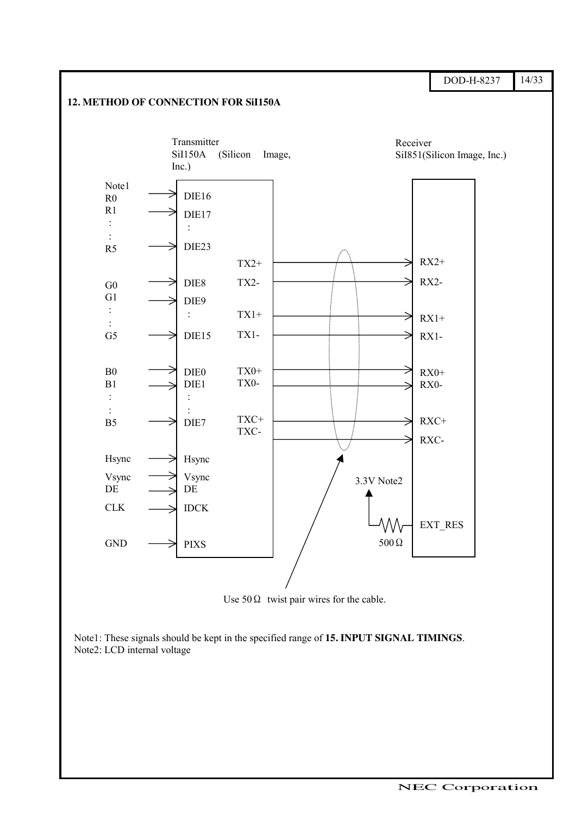

Use  $50\Omega$  twist pair wires for the cable.

Note1: These signals should be kept in the specified range of **15. INPUT SIGNAL TIMINGS**. Note2: LCD internal voltage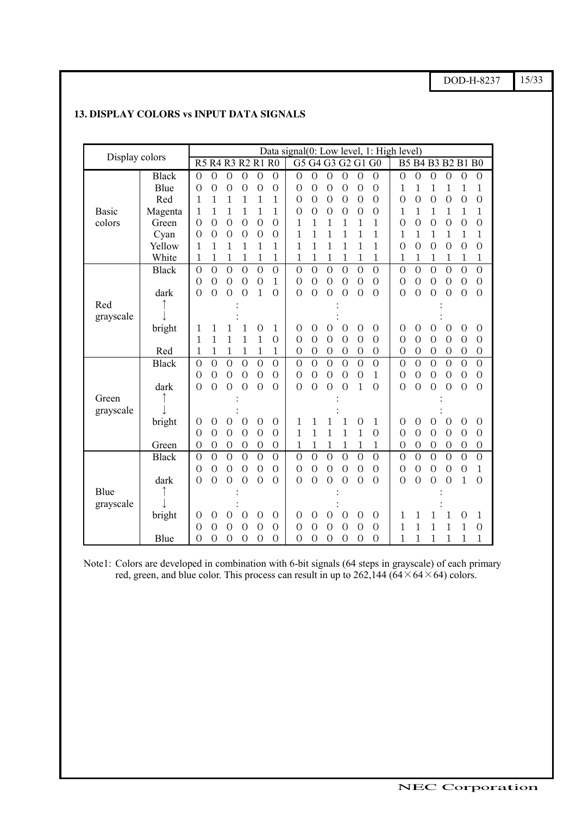DOD-H-8237 15/33

| Display colors |              |                                                                                                                                                                                                                      | Data signal(0: Low level, 1: High level)                                                                 |  |  |  |  |  |  |
|----------------|--------------|----------------------------------------------------------------------------------------------------------------------------------------------------------------------------------------------------------------------|----------------------------------------------------------------------------------------------------------|--|--|--|--|--|--|
|                |              | R5 R4 R3 R2 R1 R0<br>G5 G4 G3 G2 G1 G0                                                                                                                                                                               | B5 B4 B3 B2 B1 B0                                                                                        |  |  |  |  |  |  |
|                | <b>Black</b> | $\overline{0}$<br>$\overline{0}$<br>$\mathbf{0}$<br>$\overline{0}$<br>$\overline{0}$<br>$\overline{0}$<br>$\overline{0}$<br>$\overline{0}$<br>$\overline{0}$<br>$\overline{0}$<br>$\overline{O}$<br>$\mathbf{O}$     | $\mathbf{O}$<br>$\overline{0}$<br>$\overline{0}$<br>$\overline{0}$<br>$\overline{0}$<br>$\mathbf{O}$     |  |  |  |  |  |  |
|                | Blue         | $\overline{0}$<br>$\overline{0}$<br>$\overline{0}$<br>$\overline{O}$<br>$\overline{0}$<br>$\overline{O}$<br>$\Omega$<br>$\mathbf{0}$<br>$\Omega$<br>$\Omega$<br>$\Omega$<br>0                                        | 1<br>1<br>1<br>1<br>1<br>1                                                                               |  |  |  |  |  |  |
|                | Red          | 1<br>$\mathbf{1}$<br>1<br>1<br>1<br>$\overline{0}$<br>$\overline{0}$<br>1<br>$\Omega$<br>$\overline{0}$<br>$\overline{0}$<br>$\overline{0}$                                                                          | $\overline{O}$<br>$\overline{O}$<br>$\overline{O}$<br>$\overline{0}$<br>$\overline{0}$<br>$\overline{0}$ |  |  |  |  |  |  |
| <b>Basic</b>   | Magenta      | $\mathbf{1}$<br>1<br>$\mathbf{1}$<br>1<br>$\mathbf{1}$<br>$\mathbf{1}$<br>$\overline{0}$<br>$\overline{0}$<br>$\overline{0}$<br>$\Omega$<br>$\overline{0}$<br>$\overline{0}$                                         | $\mathbf{1}$<br>$\mathbf{1}$<br>$\mathbf{1}$<br>1<br>1<br>1                                              |  |  |  |  |  |  |
| colors         | Green        | $\overline{O}$<br>$\overline{0}$<br>$\overline{O}$<br>$\overline{0}$<br>$\overline{O}$<br>1<br>$\mathbf{1}$<br>$\mathbf{1}$<br>$\overline{0}$<br>1<br>1<br>1                                                         | $\overline{O}$<br>$\overline{O}$<br>$\overline{O}$<br>$\overline{0}$<br>$\overline{O}$<br>$\overline{0}$ |  |  |  |  |  |  |
|                | Cyan         | $\overline{0}$<br>$\overline{0}$<br>$\overline{0}$<br>$\overline{O}$<br>$\overline{0}$<br>1<br>1<br>1<br>1<br>1<br>$\Omega$<br>1                                                                                     | $\mathbf 1$<br>1<br>1<br>1<br>1<br>1                                                                     |  |  |  |  |  |  |
|                | Yellow       | $\mathbf{1}$<br>1<br>1<br>$\mathbf{1}$<br>1<br>1<br>$\mathbf 1$<br>1<br>1<br>1<br>1<br>1                                                                                                                             | $\overline{0}$<br>$\overline{O}$<br>$\overline{0}$<br>$\overline{0}$<br>$\overline{0}$<br>$\Omega$       |  |  |  |  |  |  |
|                | White        | 1<br>1<br>$\mathbf 1$<br>$\mathbf 1$<br>1<br>1<br>1<br>$\mathbf 1$<br>1<br>$\mathbf 1$<br>$\mathbf 1$<br>1                                                                                                           | 1<br>1<br>$\mathbf 1$<br>1<br>1<br>1                                                                     |  |  |  |  |  |  |
|                | <b>Black</b> | $\overline{O}$<br>$\overline{O}$<br>$\overline{O}$<br>$\overline{O}$<br>$\overline{O}$<br>$\overline{O}$<br>$\overline{0}$<br>$\overline{0}$<br>$\overline{O}$<br>$\overline{O}$<br>$\overline{0}$<br>$\overline{O}$ | $\overline{O}$<br>$\overline{O}$<br>$\overline{O}$<br>$\overline{O}$<br>$\overline{0}$<br>$\overline{O}$ |  |  |  |  |  |  |
|                |              | $\overline{0}$<br>$\overline{O}$<br>$\overline{0}$<br>$\overline{0}$<br>$\overline{0}$<br>$\overline{O}$<br>$\mathbf{1}$<br>$\overline{O}$<br>$\overline{0}$<br>$\overline{0}$<br>$\overline{0}$<br>$\overline{0}$   | $\overline{O}$<br>$\overline{0}$<br>$\overline{O}$<br>$\overline{0}$<br>$\overline{0}$<br>$\overline{O}$ |  |  |  |  |  |  |
|                | dark         | $\overline{0}$<br>$\overline{0}$<br>$\overline{0}$<br>$\mathbf{1}$<br>$\overline{0}$<br>$\overline{0}$<br>$\overline{O}$<br>$\overline{0}$<br>$\overline{O}$<br>$\overline{0}$<br>$\overline{0}$<br>$\overline{0}$   | $\overline{0}$<br>$\overline{0}$<br>$\overline{O}$<br>$\overline{0}$<br>$\overline{0}$<br>$\overline{0}$ |  |  |  |  |  |  |
| Red            |              |                                                                                                                                                                                                                      |                                                                                                          |  |  |  |  |  |  |
| grayscale      |              |                                                                                                                                                                                                                      |                                                                                                          |  |  |  |  |  |  |
|                | bright       | $\overline{0}$<br>$\overline{0}$<br>$\overline{0}$<br>1<br>1<br>1<br>$\mathbf{0}$<br>1<br>$\Omega$<br>$\overline{0}$<br>$\overline{0}$<br>1                                                                          | $\overline{0}$<br>$\theta$<br>$\overline{0}$<br>$\overline{0}$<br>$\Omega$<br>$\overline{0}$             |  |  |  |  |  |  |
|                |              | $\mathbf{1}$<br>$\mathbf{1}$<br>$\mathbf{1}$<br>$\mathbf{1}$<br>$\mathbf{1}$<br>$\overline{0}$<br>$\overline{0}$<br>$\overline{0}$<br>$\overline{0}$<br>$\overline{0}$<br>$\overline{0}$<br>$\overline{0}$           | $\overline{0}$<br>$\overline{0}$<br>$\overline{O}$<br>$\overline{0}$<br>$\overline{0}$<br>$\overline{0}$ |  |  |  |  |  |  |
|                | Red          | $\mathbf{1}$<br>$\mathbf 1$<br>$\mathbf 1$<br>$\mathbf 1$<br>$\mathbf{1}$<br>1<br>$\mathbf{O}$<br>$\mathbf{O}$<br>$\overline{0}$<br>$\mathbf{O}$<br>$\mathbf{O}$<br>$\mathbf{O}$                                     | $\mathbf{O}$<br>$\mathbf{O}$<br>$\mathbf{O}$<br>$\mathbf{O}$<br>$\mathbf{O}$<br>$\mathbf{0}$             |  |  |  |  |  |  |
|                | <b>Black</b> | $\overline{0}$<br>$\overline{0}$<br>$\overline{0}$<br>$\overline{0}$<br>$\overline{0}$<br>$\overline{O}$<br>$\overline{0}$<br>$\overline{O}$<br>$\overline{O}$<br>$\overline{O}$<br>$\overline{O}$<br>$\overline{0}$ | $\overline{0}$<br>$\overline{O}$<br>$\overline{O}$<br>$\overline{O}$<br>$\overline{0}$<br>$\overline{0}$ |  |  |  |  |  |  |
|                |              | $\overline{0}$<br>$\overline{0}$<br>$\overline{O}$<br>$\overline{0}$<br>$\overline{0}$<br>$\mathbf{1}$<br>$\overline{0}$<br>$\overline{0}$<br>$\overline{0}$<br>$\overline{0}$<br>$\overline{0}$<br>$\Omega$         | $\overline{0}$<br>$\overline{O}$<br>$\overline{0}$<br>$\overline{0}$<br>$\overline{0}$<br>$\overline{O}$ |  |  |  |  |  |  |
|                | dark         | $\overline{O}$<br>$\Omega$<br>$\overline{0}$<br>$\Omega$<br>1<br>$\overline{O}$<br>$\overline{0}$<br>$\overline{0}$<br>$\Omega$<br>$\Omega$<br>$\Omega$<br>$\overline{0}$                                            | $\overline{O}$<br>$\overline{O}$<br>$\overline{0}$<br>$\Omega$<br>$\overline{0}$<br>$\overline{0}$       |  |  |  |  |  |  |
| Green          |              |                                                                                                                                                                                                                      |                                                                                                          |  |  |  |  |  |  |
| grayscale      |              |                                                                                                                                                                                                                      |                                                                                                          |  |  |  |  |  |  |
|                | bright       | $\overline{0}$<br>$\overline{0}$<br>$\overline{0}$<br>$\overline{0}$<br>1<br>1<br>1<br>$\overline{0}$<br>1<br>0<br>0<br>1                                                                                            | $\overline{0}$<br>$\overline{0}$<br>0<br>$\overline{0}$<br>$\Omega$<br>$\overline{0}$                    |  |  |  |  |  |  |
|                |              | $\overline{0}$<br>$\overline{0}$<br>$\overline{0}$<br>$\overline{O}$<br>$\mathbf{1}$<br>$\mathbf{1}$<br>$\mathbf{1}$<br>$\overline{0}$<br>$\overline{0}$<br>1<br>1<br>$\Omega$                                       | $\overline{0}$<br>$\overline{O}$<br>$\overline{0}$<br>$\overline{0}$<br>$\overline{0}$<br>$\overline{0}$ |  |  |  |  |  |  |
|                | Green        | $\mathbf{1}$<br>$\mathbf{O}$<br>$\overline{O}$<br>1<br>1<br>$\mathbf 1$<br>$\mathbf 1$<br>$\mathbf 1$<br>0<br>$\mathbf{0}$<br>$\mathbf{0}$<br>$\mathbf{0}$                                                           | $\mathbf{O}$<br>$\mathbf{0}$<br>$\mathbf{0}$<br>$\mathbf{O}$<br>$\mathbf{0}$<br>$\mathbf{0}$             |  |  |  |  |  |  |
|                | <b>Black</b> | $\overline{0}$<br>$\overline{0}$<br>$\overline{O}$<br>$\overline{0}$<br>$\overline{O}$<br>$\overline{O}$<br>$\overline{0}$<br>$\overline{O}$<br>$\overline{0}$<br>$\overline{0}$<br>$\overline{0}$<br>$\overline{0}$ | $\overline{O}$<br>$\overline{O}$<br>$\overline{O}$<br>$\overline{0}$<br>$\overline{0}$<br>$\overline{0}$ |  |  |  |  |  |  |
|                |              | $\overline{0}$<br>$\overline{0}$<br>$\overline{0}$<br>$\overline{0}$<br>$\overline{0}$<br>$\overline{O}$<br>$\overline{0}$<br>$\overline{0}$<br>$\overline{0}$<br>$\overline{0}$<br>$\overline{O}$<br>$\overline{0}$ | $\overline{O}$<br>$\overline{O}$<br>$\overline{0}$<br>$\mathbf{1}$<br>$\overline{0}$<br>$\overline{0}$   |  |  |  |  |  |  |
|                | dark         | $\overline{0}$<br>$\overline{0}$<br>$\Omega$<br>$\overline{0}$<br>$\overline{0}$<br>$\overline{0}$<br>$\Omega$<br>$\Omega$<br>$\overline{0}$<br>$\Omega$<br>$\Omega$<br>$\Omega$                                     | $\Omega$<br>$\overline{0}$<br>$\overline{0}$<br>$\overline{0}$<br>1<br>$\overline{0}$                    |  |  |  |  |  |  |
| Blue           |              |                                                                                                                                                                                                                      |                                                                                                          |  |  |  |  |  |  |
| grayscale      |              |                                                                                                                                                                                                                      |                                                                                                          |  |  |  |  |  |  |
|                | bright       | $\overline{0}$<br>$\overline{0}$<br>$\mathbf{0}$<br>$\overline{0}$<br>$\overline{0}$<br>$\overline{0}$<br>$\overline{0}$<br>$\overline{0}$<br>$\overline{0}$<br>$\overline{0}$<br>0<br>$\Omega$                      | 1<br>1<br>1<br>1<br>1<br>0                                                                               |  |  |  |  |  |  |
|                |              | $\overline{0}$<br>$\overline{0}$<br>$\overline{0}$<br>$\overline{0}$<br>$\overline{0}$<br>$\mathbf{0}$<br>$\overline{O}$<br>$\overline{O}$<br>$\overline{0}$<br>$\overline{0}$<br>$\overline{0}$<br>$\overline{0}$   | 1<br>$\mathbf{1}$<br>$\mathbf{1}$<br>$\mathbf{1}$<br>1<br>$\mathbf{O}$                                   |  |  |  |  |  |  |
|                | Blue         | $\overline{0}$<br>$\overline{0}$<br>$\overline{0}$<br>$\overline{0}$<br>$\overline{0}$<br>$\overline{0}$<br>$\overline{0}$<br>$\overline{0}$<br>$\Omega$<br>$\Omega$<br>$\Omega$<br>$\Omega$                         | 1<br>1<br>1<br>1<br>1<br>1                                                                               |  |  |  |  |  |  |

### **13. DISPLAY COLORS vs INPUT DATA SIGNALS**

Note1: Colors are developed in combination with 6-bit signals (64 steps in grayscale) of each primary red, green, and blue color. This process can result in up to  $262,144$  ( $64 \times 64 \times 64$ ) colors.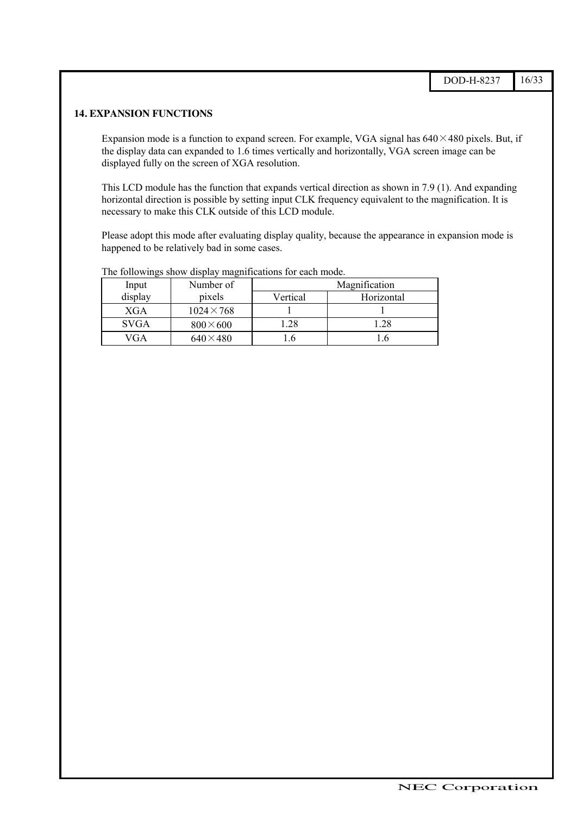#### **14. EXPANSION FUNCTIONS**

Expansion mode is a function to expand screen. For example, VGA signal has  $640 \times 480$  pixels. But, if the display data can expanded to 1.6 times vertically and horizontally, VGA screen image can be displayed fully on the screen of XGA resolution.

This LCD module has the function that expands vertical direction as shown in 7.9 (1). And expanding horizontal direction is possible by setting input CLK frequency equivalent to the magnification. It is necessary to make this CLK outside of this LCD module.

Please adopt this mode after evaluating display quality, because the appearance in expansion mode is happened to be relatively bad in some cases.

| Input       | Number of         | Magnification |            |  |  |  |  |
|-------------|-------------------|---------------|------------|--|--|--|--|
| display     | pixels            | Vertical      | Horizontal |  |  |  |  |
| <b>XGA</b>  | $1024 \times 768$ |               |            |  |  |  |  |
| <b>SVGA</b> | $800\times600$    | 1.28          | .28        |  |  |  |  |
| VGA         | $640\times480$    | $\cdot$       |            |  |  |  |  |

The followings show display magnifications for each mode.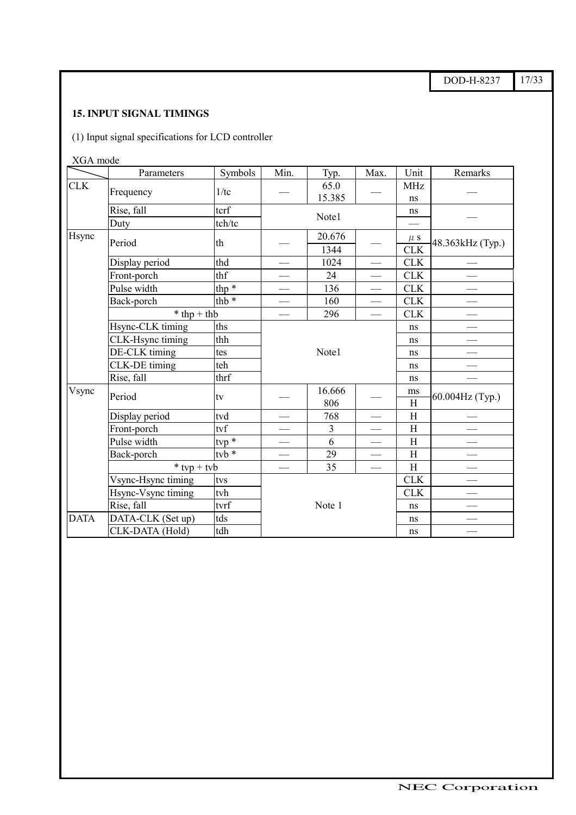DOD-H-8237 17/33

# **15. INPUT SIGNAL TIMINGS**

(1) Input signal specifications for LCD controller

XGA mode

|             | Parameters         | Symbols               | Min.   | Typ.           | Max.                     | Unit                            | Remarks          |  |
|-------------|--------------------|-----------------------|--------|----------------|--------------------------|---------------------------------|------------------|--|
| <b>CLK</b>  | Frequency          | 1/tc                  |        | 65.0<br>15.385 |                          | <b>MHz</b><br>ns                |                  |  |
|             | Rise, fall         | tcrf                  |        |                |                          | ns                              |                  |  |
|             | Duty               | tch/tc                | Note1  |                |                          |                                 |                  |  |
| Hsync       | Period             | th                    |        | 20.676         |                          | $\mu$ s                         | 48.363kHz (Typ.) |  |
|             |                    |                       |        | 1344           |                          | <b>CLK</b>                      |                  |  |
|             | Display period     | thd                   |        | 1024           |                          | <b>CLK</b>                      |                  |  |
|             | Front-porch        | thf                   |        | 24             | $\overline{\phantom{0}}$ | <b>CLK</b>                      |                  |  |
|             | Pulse width        | thp $*$               |        | 136            |                          | <b>CLK</b>                      |                  |  |
|             | Back-porch         | thb <sup>*</sup>      |        | 160            |                          | <b>CLK</b>                      |                  |  |
|             | $*$ thp + thb      |                       |        | 296            |                          | CLK                             |                  |  |
|             | Hsync-CLK timing   | ths                   |        |                |                          | ns                              |                  |  |
|             | CLK-Hsync timing   | thh                   |        |                | ns                       |                                 |                  |  |
|             | DE-CLK timing      | tes                   |        | Note1          | ns                       |                                 |                  |  |
|             | CLK-DE timing      | teh                   |        |                |                          | ns                              |                  |  |
|             | Rise, fall         | thrf                  |        |                |                          | ns                              |                  |  |
| Vsync       | Period             | tv                    |        | 16.666<br>806  |                          | ms<br>$\boldsymbol{\mathrm{H}}$ | 60.004Hz (Typ.)  |  |
|             | Display period     | tvd                   |        | 768            |                          | H                               |                  |  |
|             | Front-porch        | tvf                   |        | $\overline{3}$ |                          | H                               |                  |  |
|             | Pulse width        | $\frac{1}{2}$         |        | 6              |                          | $\boldsymbol{\mathrm{H}}$       |                  |  |
|             | Back-porch         | tvb $\overline{\ast}$ |        | 29             |                          | $\rm H$                         |                  |  |
|             | $*$ tvp + tvb      |                       |        | 35             | $\overline{\phantom{0}}$ | $\boldsymbol{\mathrm{H}}$       |                  |  |
|             | Vsync-Hsync timing | tvs                   |        |                |                          | <b>CLK</b>                      |                  |  |
|             | Hsync-Vsync timing | tvh                   |        |                |                          | <b>CLK</b>                      |                  |  |
|             | Rise, fall<br>tvrf |                       | Note 1 |                |                          | ns                              |                  |  |
| <b>DATA</b> | DATA-CLK (Set up)  | tds                   |        |                |                          | ns                              |                  |  |
|             | CLK-DATA (Hold)    | tdh                   |        |                | ns                       |                                 |                  |  |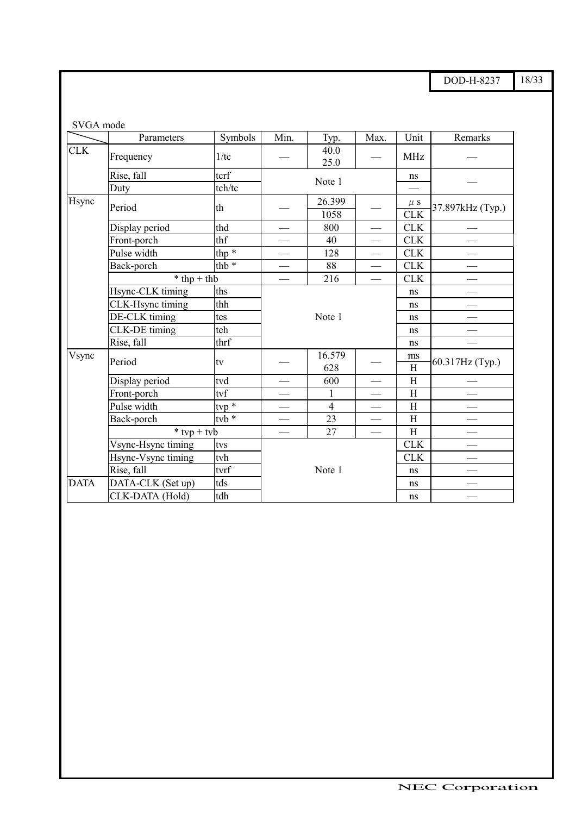DOD-H-8237 18/33

| SVGA mode   |                         |                       |                          |                |                                 |                       |                  |
|-------------|-------------------------|-----------------------|--------------------------|----------------|---------------------------------|-----------------------|------------------|
|             | Parameters              | Symbols               | Min.                     | Typ.           | Max.                            | Unit                  | Remarks          |
| <b>CLK</b>  | Frequency               | 1/tc                  |                          | 40.0<br>25.0   |                                 | <b>MHz</b>            |                  |
|             | Rise, fall              | tcrf                  |                          |                |                                 | ns                    |                  |
|             | Duty                    | tch/tc                | Note 1                   |                |                                 |                       |                  |
| Hsync       | Period                  | th                    | 26.399<br>1058           |                |                                 | $\mu$ S<br><b>CLK</b> | 37.897kHz (Typ.) |
|             | Display period          | thd                   |                          | 800            |                                 | <b>CLK</b>            |                  |
|             | Front-porch             | thf                   |                          | 40             |                                 | CLK                   |                  |
|             | Pulse width             | thp $\overline{\ast}$ | $\overline{\phantom{0}}$ | 128            |                                 | <b>CLK</b>            |                  |
|             | Back-porch              | thb <sup>*</sup>      | $\overline{\phantom{0}}$ | 88             | $\overline{\phantom{0}}$        | CLK                   |                  |
|             | $*$ thp + thb           |                       |                          | 216            |                                 | <b>CLK</b>            |                  |
|             | Hsync-CLK timing<br>ths |                       |                          |                |                                 | ns                    |                  |
|             | CLK-Hsync timing        | thh                   |                          |                |                                 | ns                    |                  |
|             | DE-CLK timing           | tes                   |                          | Note 1         |                                 | ns                    |                  |
|             | CLK-DE timing           | teh                   |                          |                |                                 | ns                    |                  |
|             | Rise, fall              | thrf                  |                          |                | ns                              |                       |                  |
| Vsync       | Period                  | tv                    |                          | 16.579<br>628  |                                 | ms<br>H               | 60.317Hz (Typ.)  |
|             | Display period          | tvd                   |                          | 600            |                                 | H                     |                  |
|             | Front-porch             | tvf                   |                          | $\mathbf{1}$   |                                 | H                     |                  |
|             | Pulse width             | ${tvp}$ *             |                          | $\overline{4}$ | $\overbrace{\qquad \qquad }^{}$ | H                     |                  |
|             | Back-porch              | $t\nabla b$ $*$       |                          | 23             |                                 | H                     |                  |
|             | $*$ typ + tyb           |                       |                          | 27             |                                 | H                     |                  |
|             | Vsync-Hsync timing      | tvs                   |                          |                |                                 | <b>CLK</b>            |                  |
|             | Hsync-Vsync timing      | tvh                   |                          |                | <b>CLK</b>                      |                       |                  |
|             | Rise, fall              | tvrf                  | Note 1                   |                |                                 | ns                    |                  |
| <b>DATA</b> | DATA-CLK (Set up)       | tds                   |                          |                |                                 | ns                    |                  |
|             | CLK-DATA (Hold)         | tdh                   |                          |                |                                 | ns                    |                  |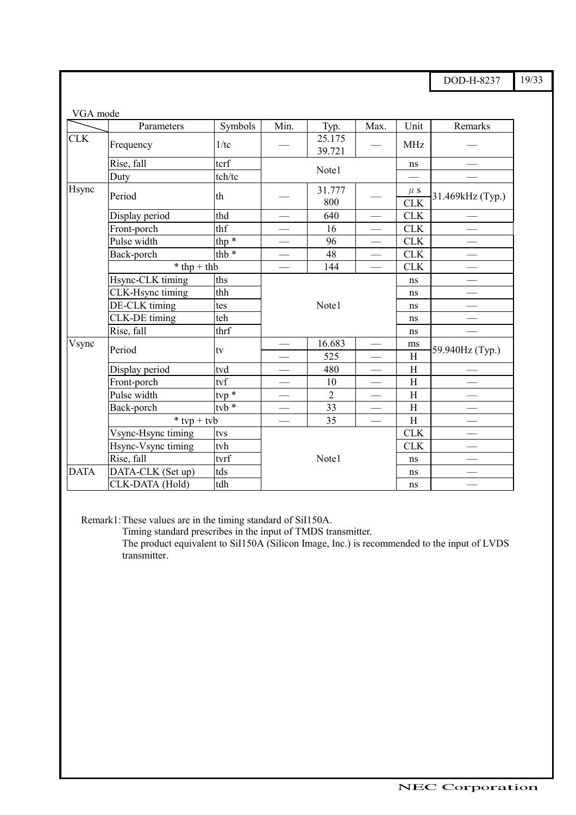DOD-H-8237 19/33

| VGA mode    |                      |               |                          |                  |                          |                       |                  |
|-------------|----------------------|---------------|--------------------------|------------------|--------------------------|-----------------------|------------------|
|             | Parameters           | Symbols       | Min.                     | Typ.             | Max.                     | Unit                  | Remarks          |
| <b>CLK</b>  | Frequency            | 1/tc          |                          | 25.175<br>39.721 |                          | <b>MHz</b>            |                  |
|             | Rise, fall           | tcrf          |                          |                  |                          | ns                    |                  |
|             | Duty                 | tch/tc        |                          | Note1            |                          |                       |                  |
| Hsync       | Period               | th            |                          | 31.777<br>800    |                          | $\mu$ S<br><b>CLK</b> | 31.469kHz (Typ.) |
|             | Display period       | thd           |                          | 640              |                          | <b>CLK</b>            |                  |
|             | Front-porch          | thf           |                          | 16               | $\overline{\phantom{0}}$ | <b>CLK</b>            |                  |
|             | Pulse width          | thp $*$       |                          | 96               |                          | CLK                   |                  |
|             | Back-porch           | thb $*$       |                          | 48               | $\overline{\phantom{0}}$ | <b>CLK</b>            |                  |
|             | $*$ thp + thb        |               |                          | 144              |                          | <b>CLK</b>            |                  |
|             | Hsync-CLK timing     | ths           |                          |                  |                          | ns                    |                  |
|             | CLK-Hsync timing     | thh           |                          |                  | ns                       |                       |                  |
|             | DE-CLK timing        | tes           |                          | Note1            | ns                       |                       |                  |
|             | <b>CLK-DE</b> timing | teh           |                          |                  |                          | ns                    |                  |
|             | Rise, fall           | thrf          |                          |                  | ns                       |                       |                  |
| Vsync       | Period               | tv            |                          | 16.683           |                          | ms                    | 59.940Hz (Typ.)  |
|             |                      |               |                          | 525              | $\overline{\phantom{0}}$ | H                     |                  |
|             | Display period       | tvd           |                          | 480              |                          | H                     |                  |
|             | Front-porch          | tvf           |                          | 10               |                          | H                     |                  |
|             | Pulse width          | $typ *$       |                          | $\overline{2}$   |                          | H                     |                  |
|             | Back-porch           | $t\nabla b *$ |                          | 33               |                          | H                     |                  |
|             | $*$ typ + tyb        |               | $\overline{\phantom{0}}$ | 35               |                          | H                     |                  |
|             | Vsync-Hsync timing   | tvs           |                          |                  |                          | <b>CLK</b>            |                  |
|             | Hsync-Vsync timing   | tvh           |                          |                  | <b>CLK</b>               |                       |                  |
|             | Rise, fall           | tvrf          |                          | Note1            |                          | ns                    |                  |
| <b>DATA</b> | DATA-CLK (Set up)    | tds           |                          |                  | ns                       |                       |                  |
|             | CLK-DATA (Hold)      | tdh           |                          |                  | ns                       |                       |                  |

Remark1:These values are in the timing standard of SiI150A.

ޓޓޓޓޓޓޓޓޓޓޓޓޓޓޓޓޓޓޓޓޓޓޓޓޓޓޓޓޓޓޓޓ

Timing standard prescribes in the input of TMDS transmitter.

The product equivalent to SiI150A (Silicon Image, Inc.) is recommended to the input of LVDS transmitter.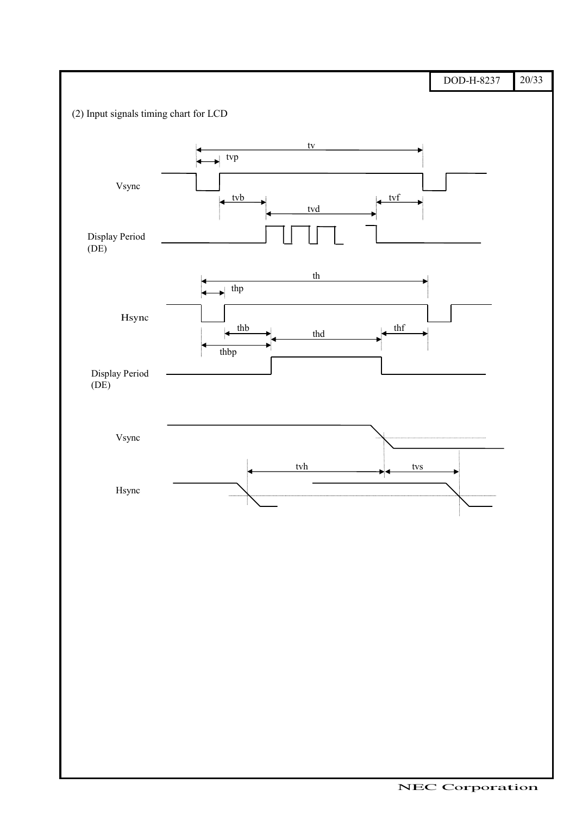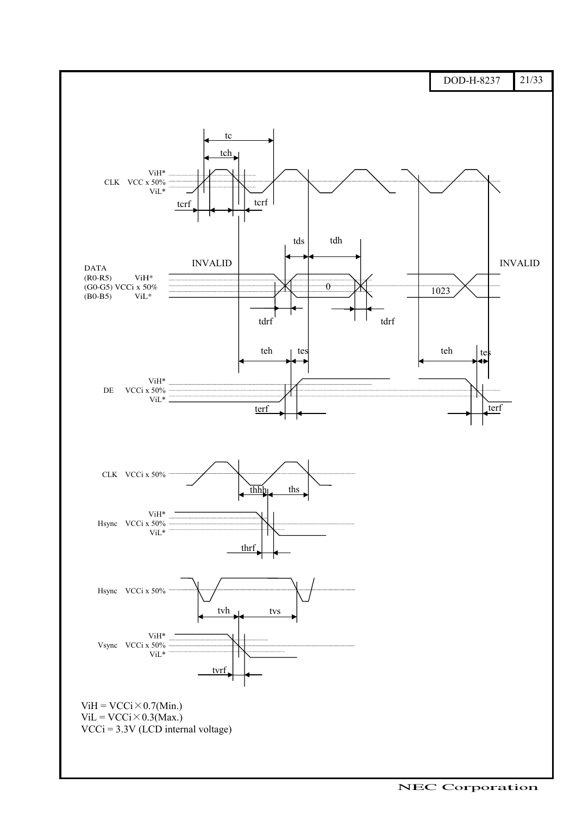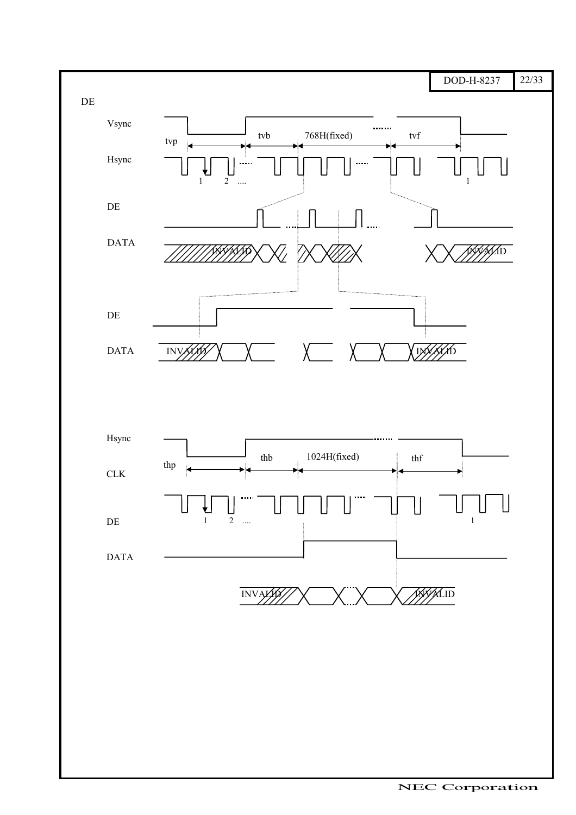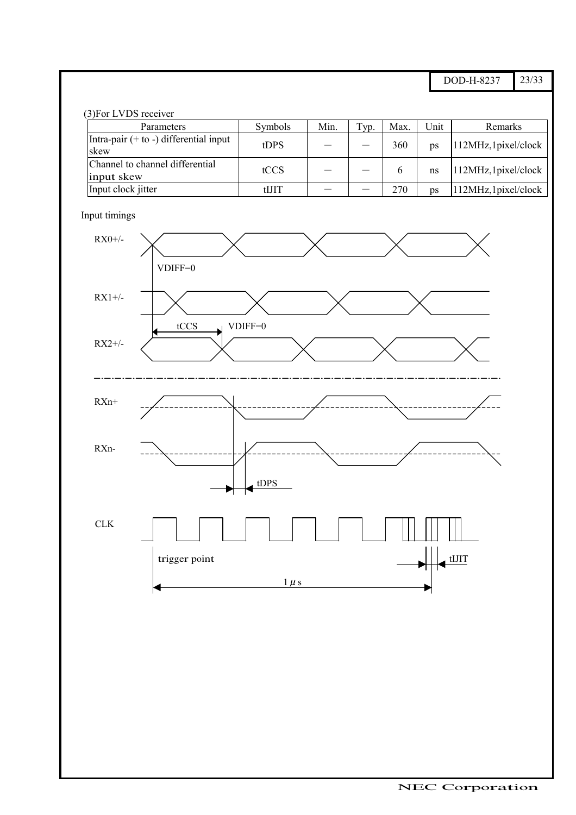DOD-H-8237 23/33

| (3) For LVDS receiver                            |         |      |      |      |      |                      |
|--------------------------------------------------|---------|------|------|------|------|----------------------|
| Parameters                                       | Symbols | Min. | Typ. | Max. | Unit | Remarks              |
| Intra-pair $(+ to -)$ differential input<br>skew | tDPS    |      |      | 360  | ps   | 112MHz, 1pixel/clock |
| Channel to channel differential<br>input skew    | tCCS    |      |      |      | ns   | 112MHz, 1pixel/clock |
| Input clock jitter                               | tIJIT   |      |      | 270  | ps   | 112MHz, 1pixel/clock |

Input timings

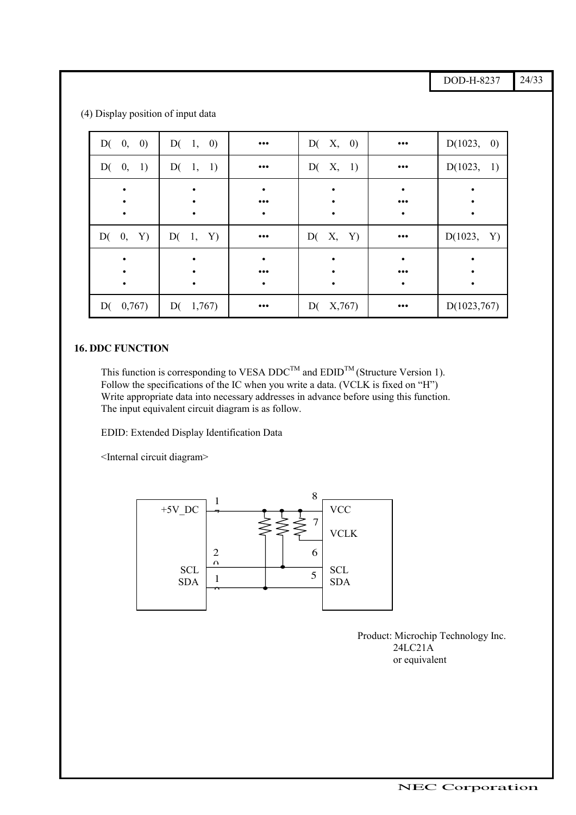DOD-H-8237 24/33

| D(0, 0)     | D(1, 0)  | $\bullet\bullet\bullet$ | D(X, 0)      | $\bullet\bullet\bullet$ | D(1023, 0)   |
|-------------|----------|-------------------------|--------------|-------------------------|--------------|
| D(0, 1)     | D(1, 1)  | $\bullet\bullet\bullet$ | D(X, 1)      | $\bullet\bullet\bullet$ | D(1023, 1)   |
|             |          | $\bullet$               |              |                         |              |
|             |          | $\bullet\bullet\bullet$ |              | $\bullet\bullet\bullet$ |              |
|             |          | $\bullet$               |              | $\bullet$               | $\bullet$    |
| D(0, Y)     | D(1, Y)  | $\bullet\bullet\bullet$ | D(X, Y)      | $\bullet\bullet\bullet$ | D(1023, Y)   |
|             |          | $\bullet$               |              | ٠                       |              |
|             |          | $\bullet\bullet\bullet$ |              | $\bullet\bullet\bullet$ |              |
|             |          | $\bullet$               | $\bullet$    | $\bullet$               | $\bullet$    |
| $D($ 0,767) | D(1,767) | $\bullet\bullet\bullet$ | X,767)<br>D( | $\bullet\bullet\bullet$ | D(1023, 767) |

ޓޓ)4 (Display position of input data

#### **16. DDC FUNCTION**

This function is corresponding to VESA DDC<sup>TM</sup> and  $EDID^{TM}$  (Structure Version 1). Follow the specifications of the IC when you write a data. (VCLK is fixed on "H") Write appropriate data into necessary addresses in advance before using this function. The input equivalent circuit diagram is as follow.

EDID: Extended Display Identification Data

<Internal circuit diagram>



ޓޓޓޓޓޓޓޓޓޓޓޓޓޓޓޓޓޓޓޓޓޓޓޓޓޓޓޓޓޓޓޓ

Product: Microchip Technology Inc. 24LC21A or equivalent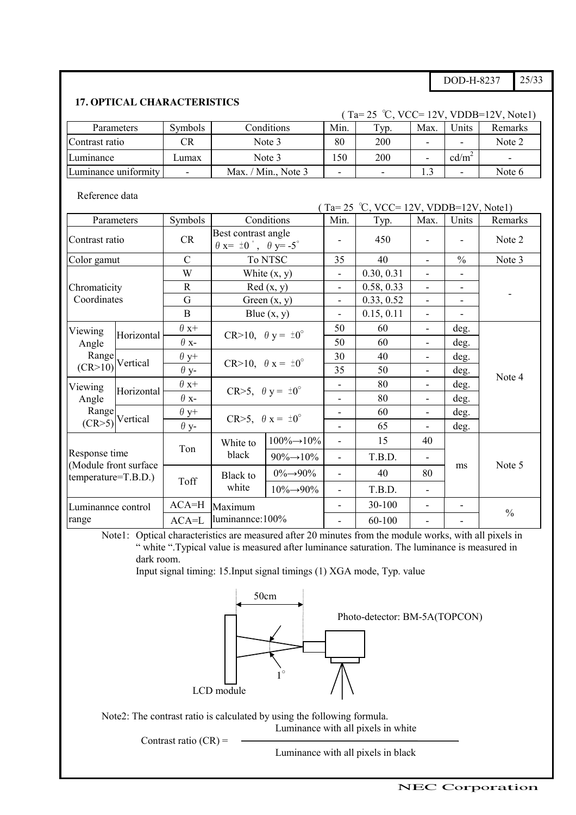DOD-H-8237 25/33

### **17. OPTICAL CHARACTERISTICS**

|                                                                 |                |            | (Ta= 25 °C, VCC= 12V, VDDB=12V, Note1) |      |     |                   |         |  |
|-----------------------------------------------------------------|----------------|------------|----------------------------------------|------|-----|-------------------|---------|--|
| Parameters                                                      | <b>Symbols</b> | Conditions | Min.                                   | Typ. | Max | <b>Jnits</b>      | Remarks |  |
| Contrast ratio                                                  | CR             | Note 3     | 80                                     | 200  |     |                   | Note 2  |  |
| Luminance                                                       | Lumax          | Note 3     | .50                                    | 200  | -   | cd/m <sup>2</sup> | -       |  |
| Luminance uniformity<br>Max. / Min., Note $3$<br>$\blacksquare$ |                |            |                                        |      |     |                   | Note 6  |  |

Reference data

( Ta= 25 °C, VCC= 12V, VDDB=12V, Notel)

| Parameters                                      |                              | Symbols       |                                                               | Conditions                         | Min.                     | Typ.       | Max.                     | Units         | Remarks       |
|-------------------------------------------------|------------------------------|---------------|---------------------------------------------------------------|------------------------------------|--------------------------|------------|--------------------------|---------------|---------------|
| Contrast ratio                                  |                              | <b>CR</b>     | Best contrast angle<br>$\theta$ x= $\pm 0$ °, $\theta$ y= -5° |                                    |                          | 450        |                          |               | Note 2        |
| Color gamut                                     |                              | $\mathcal{C}$ | To NTSC                                                       |                                    | 35                       | 40         |                          | $\frac{0}{0}$ | Note 3        |
|                                                 |                              | W             |                                                               | White $(x, y)$                     | $\overline{\phantom{0}}$ | 0.30, 0.31 | $\overline{\phantom{a}}$ | -             |               |
| Chromaticity                                    |                              | $\mathbb{R}$  |                                                               | Red(x, y)                          | $\overline{\phantom{0}}$ | 0.58, 0.33 | $\blacksquare$           | -             |               |
| Coordinates                                     |                              | G             |                                                               | Green $(x, y)$                     | $\overline{\phantom{0}}$ | 0.33, 0.52 | $\overline{\phantom{a}}$ | ٠             |               |
|                                                 |                              | $\mathbf{B}$  |                                                               | Blue $(x, y)$                      | $\overline{\phantom{0}}$ | 0.15, 0.11 | $\overline{\phantom{a}}$ |               |               |
| Viewing                                         |                              | $\theta x+$   |                                                               |                                    | 50                       | 60         | ۰                        | deg.          |               |
| Angle<br>Range<br>$(CR>10)$ <sup>Vertical</sup> | Horizontal                   | $\theta$ x-   | CR>10, $\theta$ y = $\pm 0^{\circ}$                           |                                    | 50                       | 60         | ٠                        | deg.          | Note 4        |
|                                                 |                              | $\theta$ y+   | CR>10, $\theta$ x = $\pm 0^{\circ}$                           |                                    | 30                       | 40         | ٠                        | deg.          |               |
|                                                 |                              | $\theta$ y-   |                                                               |                                    | 35                       | 50         | ۰                        | deg.          |               |
| Viewing                                         | Horizontal                   | $\theta x+$   |                                                               |                                    |                          | 80         |                          | deg.          |               |
| Angle                                           |                              | $\theta$ x-   | CR>5, $\theta$ y = $\pm 0^{\circ}$                            |                                    | $\overline{\phantom{0}}$ | 80         | $\blacksquare$           | deg.          |               |
| Range                                           |                              | $\theta$ y+   |                                                               |                                    | -                        | 60         | $\overline{\phantom{a}}$ | deg.          |               |
|                                                 | $(CR>5)$ <sup>Vertical</sup> | $\theta$ y-   |                                                               | CR>5, $\theta$ x = $\pm 0^{\circ}$ |                          | 65         |                          | deg.          |               |
|                                                 |                              |               | White to                                                      | $100\% \rightarrow 10\%$           | $\overline{\phantom{0}}$ | 15         | 40                       |               |               |
| Response time                                   |                              | Ton           | black                                                         | $90\% \rightarrow 10\%$            | $\overline{\phantom{0}}$ | T.B.D.     | ٠                        |               | Note 5        |
| (Module front surface<br>temperature=T.B.D.)    |                              |               | Black to                                                      | $0\% \rightarrow 90\%$             | $\overline{\phantom{0}}$ | 40         | 80                       | ms            |               |
|                                                 |                              | Toff          | white                                                         | $10\% \rightarrow 90\%$            | $\overline{\phantom{0}}$ | T.B.D.     | $\overline{\phantom{a}}$ |               |               |
| Luminannce control                              |                              | $ACA=H$       | Maximum                                                       |                                    | ۰                        | 30-100     | $\blacksquare$           |               |               |
| range                                           |                              | $ACA = L$     | luminannce:100%                                               |                                    |                          | 60-100     |                          |               | $\frac{0}{0}$ |

Note1: Optical characteristics are measured after 20 minutes from the module works, with all pixels in " white ".Typical value is measured after luminance saturation. The luminance is measured in dark room.

Input signal timing: 15.Input signal timings (1) XGA mode, Typ. value



Note2: The contrast ratio is calculated by using the following formula. Luminance with all pixels in white

ޓޓޓޓޓޓޓޓޓޓޓޓޓޓޓޓޓޓޓޓޓޓޓޓޓޓޓޓޓޓޓޓ

Contrast ratio  $(CR)$  =

Luminance with all pixels in black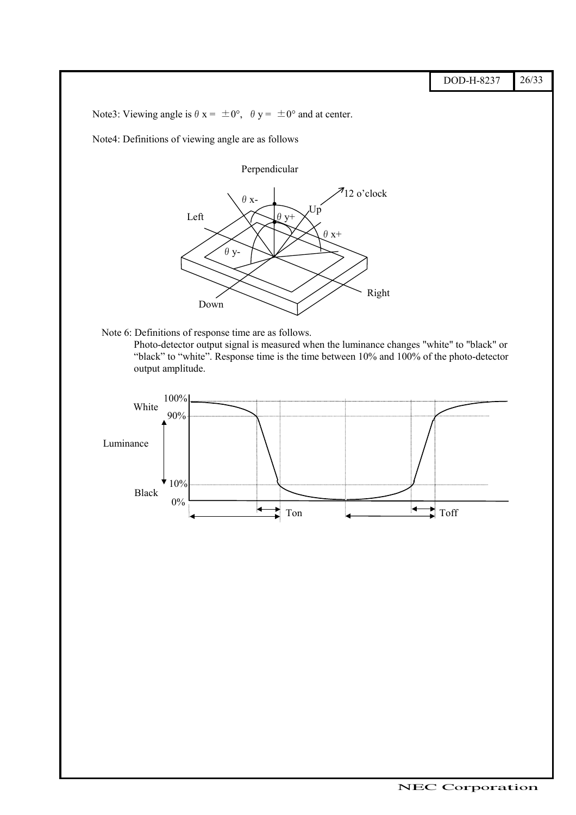DOD-H-8237 26/33

Note3: Viewing angle is  $\theta$  x =  $\pm 0^{\circ}$ ,  $\theta$  y =  $\pm 0^{\circ}$  and at center.

Note4: Definitions of viewing angle are as follows

Perpendicular



Note 6: Definitions of response time are as follows.

ޓޓޓޓޓޓޓޓޓޓޓޓޓޓޓޓޓޓޓޓޓޓޓޓޓޓޓޓޓޓޓޓ

Photo-detector output signal is measured when the luminance changes "white" to "black" or "black" to "white". Response time is the time between 10% and 100% of the photo-detector output amplitude.

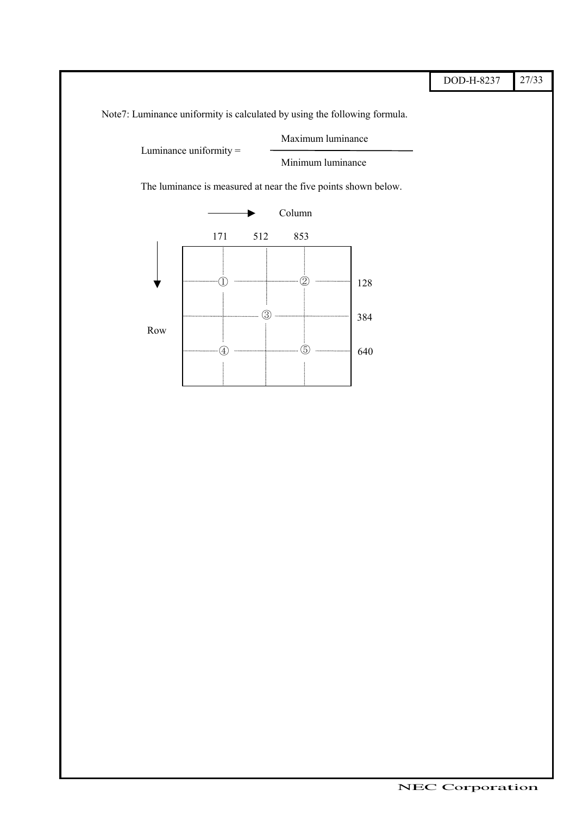|                                                                           |                        |     |                                                                                                         |                                                                | DOD-H-8237 | 27/33 |
|---------------------------------------------------------------------------|------------------------|-----|---------------------------------------------------------------------------------------------------------|----------------------------------------------------------------|------------|-------|
| Note7: Luminance uniformity is calculated by using the following formula. |                        |     |                                                                                                         |                                                                |            |       |
|                                                                           | Luminance uniformity = |     | Maximum luminance                                                                                       |                                                                |            |       |
|                                                                           |                        |     | Minimum luminance                                                                                       |                                                                |            |       |
|                                                                           |                        |     |                                                                                                         | The luminance is measured at near the five points shown below. |            |       |
|                                                                           |                        |     | Column                                                                                                  |                                                                |            |       |
|                                                                           | 171                    | 512 | 853                                                                                                     |                                                                |            |       |
|                                                                           |                        |     |                                                                                                         |                                                                |            |       |
|                                                                           |                        |     | $\mathfrak{D}% _{T}=\mathfrak{D}_{T}\!\left( a,b\right) ,\ \mathfrak{D}_{T}=C_{T}\!\left( a,b\right) ,$ | 128                                                            |            |       |
|                                                                           |                        |     |                                                                                                         | 384                                                            |            |       |
| $\operatorname{Row}$                                                      | $\left( 4\right)$      |     | 3)                                                                                                      |                                                                |            |       |
|                                                                           |                        |     |                                                                                                         | 640                                                            |            |       |
|                                                                           |                        |     |                                                                                                         |                                                                |            |       |
|                                                                           |                        |     |                                                                                                         |                                                                |            |       |
|                                                                           |                        |     |                                                                                                         |                                                                |            |       |
|                                                                           |                        |     |                                                                                                         |                                                                |            |       |
|                                                                           |                        |     |                                                                                                         |                                                                |            |       |
|                                                                           |                        |     |                                                                                                         |                                                                |            |       |
|                                                                           |                        |     |                                                                                                         |                                                                |            |       |
|                                                                           |                        |     |                                                                                                         |                                                                |            |       |
|                                                                           |                        |     |                                                                                                         |                                                                |            |       |
|                                                                           |                        |     |                                                                                                         |                                                                |            |       |
|                                                                           |                        |     |                                                                                                         |                                                                |            |       |
|                                                                           |                        |     |                                                                                                         |                                                                |            |       |
|                                                                           |                        |     |                                                                                                         |                                                                |            |       |
|                                                                           |                        |     |                                                                                                         |                                                                |            |       |
|                                                                           |                        |     |                                                                                                         |                                                                |            |       |
|                                                                           |                        |     |                                                                                                         |                                                                |            |       |
|                                                                           |                        |     |                                                                                                         |                                                                |            |       |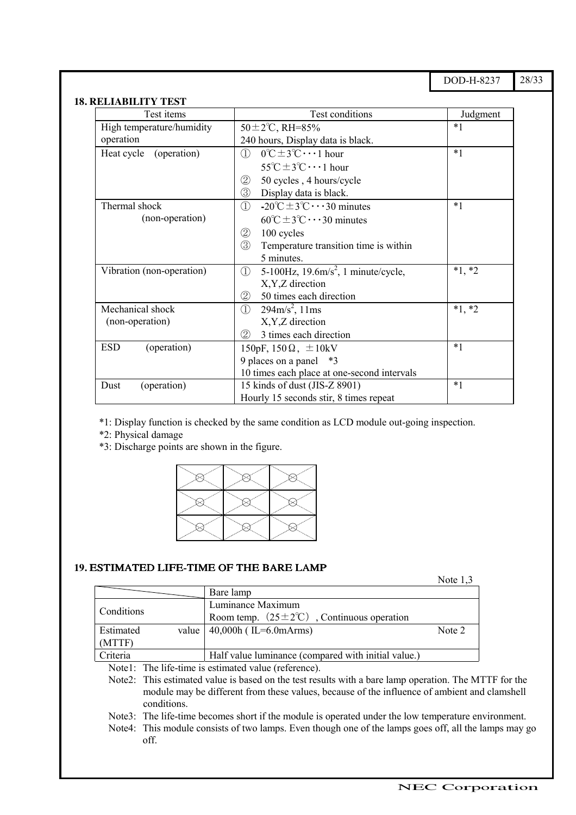DOD-H-8237 28/33

#### **18. RELIABILITY TEST**

| Test items                | Test conditions                                                                  | Judgment |  |  |
|---------------------------|----------------------------------------------------------------------------------|----------|--|--|
| High temperature/humidity | $50 \pm 2^{\circ}$ C, RH=85%                                                     | $*1$     |  |  |
| operation                 | 240 hours, Display data is black.                                                |          |  |  |
| (operation)<br>Heat cycle | $0^{\circ}C \pm 3^{\circ}C \cdots 1$ hour<br>$\left( \mathrm{I}\right)$          | $*1$     |  |  |
|                           | $55^{\circ}C \pm 3^{\circ}C \cdots 1$ hour                                       |          |  |  |
|                           | $^{\small{\textcircled{\small{2}}}}$<br>50 cycles, 4 hours/cycle                 |          |  |  |
|                           | ③<br>Display data is black.                                                      |          |  |  |
| Thermal shock             | $-20^{\circ}C \pm 3^{\circ}C \cdots 30$ minutes<br>①                             | $*1$     |  |  |
| (non-operation)           | $60^{\circ}C \pm 3^{\circ}C \cdots 30$ minutes                                   |          |  |  |
|                           | $^{\small{\textcircled{\small{2}}}}$<br>100 cycles                               |          |  |  |
|                           | 3<br>Temperature transition time is within                                       |          |  |  |
|                           | 5 minutes.                                                                       |          |  |  |
| Vibration (non-operation) | 5-100Hz, $19.6 \text{m/s}^2$ , 1 minute/cycle,<br>$\textcircled{\scriptsize{1}}$ | $*1, *2$ |  |  |
|                           | X, Y, Z direction                                                                |          |  |  |
|                           | 50 times each direction<br>②                                                     |          |  |  |
| Mechanical shock          | $294 \text{m/s}^2$ , 11ms<br>$\textcircled{\scriptsize{1}}$                      | $*1, *2$ |  |  |
| (non-operation)           | X, Y, Z direction                                                                |          |  |  |
|                           | 2<br>3 times each direction                                                      |          |  |  |
| <b>ESD</b><br>(operation) | 150pF, $150\Omega$ , $\pm 10kV$                                                  | $*1$     |  |  |
|                           | 9 places on a panel *3                                                           |          |  |  |
|                           | 10 times each place at one-second intervals                                      |          |  |  |
| (operation)<br>Dust       | 15 kinds of dust (JIS-Z 8901)                                                    | $*1$     |  |  |
|                           | Hourly 15 seconds stir, 8 times repeat                                           |          |  |  |

\*1: Display function is checked by the same condition as LCD module out-going inspection.

\*2: Physical damage

\*3: Discharge points are shown in the figure.



#### **19.** ESTIMATED LIFE-TIME OF THE <sup>B</sup>ARE <sup>L</sup>AMP

ޓޓޓޓޓޓޓޓޓޓޓޓޓޓޓޓޓޓޓޓޓޓޓޓޓޓޓޓޓޓޓޓ

Note 1,3

|                                                                                                       | Bare lamp                                                      |        |  |  |
|-------------------------------------------------------------------------------------------------------|----------------------------------------------------------------|--------|--|--|
|                                                                                                       | Luminance Maximum                                              |        |  |  |
| <b>Conditions</b>                                                                                     | Room temp. $(25 \pm 2^{\circ}\text{C})$ , Continuous operation |        |  |  |
| <b>Estimated</b>                                                                                      | value   $40,000h$ (IL=6.0mArms)                                | Note 2 |  |  |
| (MTTF)                                                                                                |                                                                |        |  |  |
| Criteria                                                                                              | Half value luminance (compared with initial value.)            |        |  |  |
| Note1: The life-time is estimated value (reference).                                                  |                                                                |        |  |  |
| $N_{\text{obs}}$ ? This estimated value is based on the test results with a bare lamp eperties. The M |                                                                |        |  |  |

Note2: This estimated value is based on the test results with a bare lamp operation. The MTTF for the module may be different from these values, because of the influence of ambient and clamshell conditions.

Note3: The life-time becomes short if the module is operated under the low temperature environment.

Note4: This module consists of two lamps. Even though one of the lamps goes off, all the lamps may go off.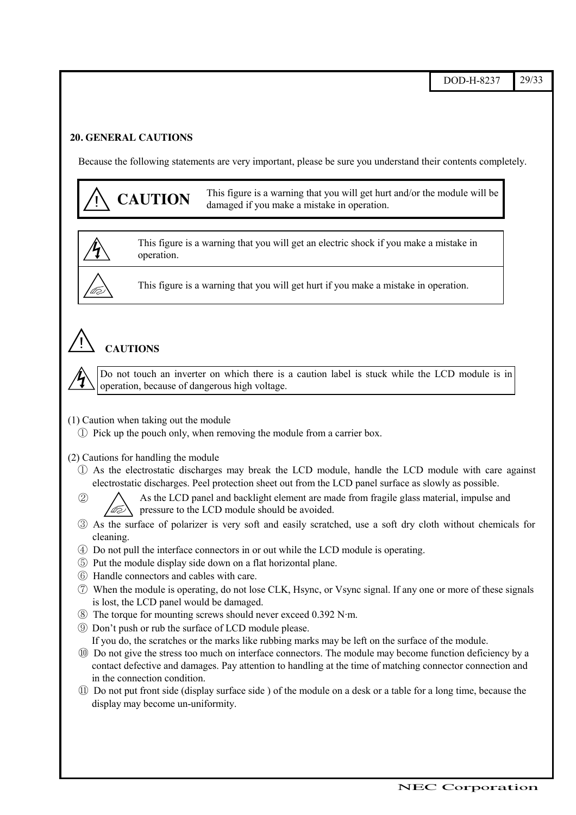#### **20. GENERAL CAUTIONS**

Because the following statements are very important, please be sure you understand their contents completely.

**CAUTION** This figure is a warning that you will get hurt and/or the module will be damaged if you make a mistake in operation. This figure is a warning that you will get an electric shock if you make a mistake in operation. This figure is a warning that you will get hurt if you make a mistake in operation. ! **CAUTIONS** (1) Caution when taking out the module Ԙ Pick up the pouch only, when removing the module from a carrier box. (2) Cautions for handling the module Ԙ As the electrostatic discharges may break the LCD module, handle the LCD module with care against electrostatic discharges. Peel protection sheet out from the LCD panel surface as slowly as possible. ԙ As the LCD panel and backlight element are made from fragile glass material, impulse and pressure to the LCD module should be avoided. Ԛ As the surface of polarizer is very soft and easily scratched, use a soft dry cloth without chemicals for cleaning. ԛ Do not pull the interface connectors in or out while the LCD module is operating. Ԝ Put the module display side down on a flat horizontal plane. ԝ Handle connectors and cables with care. Ԟ When the module is operating, do not lose CLK, Hsync, or Vsync signal. If any one or more of these signals is lost, the LCD panel would be damaged. ԟ The torque for mounting screws should never exceed 0.392 N·m. Ԡ Don't push or rub the surface of LCD module please. If you do, the scratches or the marks like rubbing marks may be left on the surface of the module. ԡ Do not give the stress too much on interface connectors. The module may become function deficiency by a contact defective and damages. Pay attention to handling at the time of matching connector connection and in the connection condition. Ԣ Do not put front side (display surface side ) of the module on a desk or a table for a long time, because the display may become un-uniformity.  Do not touch an inverter on which there is a caution label is stuck while the LCD module is in operation, because of dangerous high voltage.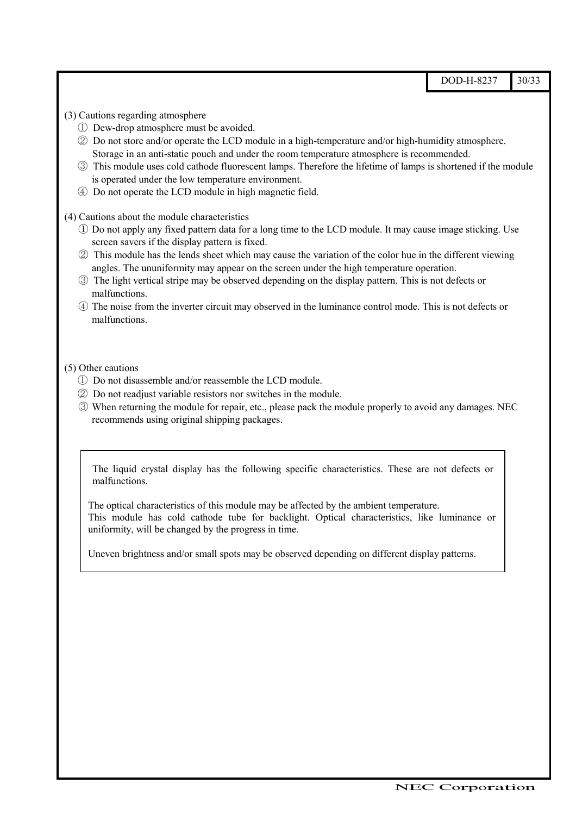DOD-H-8237 30/33 (3) Cautions regarding atmosphere Ԙ Dew-drop atmosphere must be avoided. ԙ Do not store and/or operate the LCD module in a high-temperature and/or high-humidity atmosphere. Storage in an anti-static pouch and under the room temperature atmosphere is recommended. Ԛ This module uses cold cathode fluorescent lamps. Therefore the lifetime of lamps is shortened if the module is operated under the low temperature environment. ԛ Do not operate the LCD module in high magnetic field. (4) Cautions about the module characteristics Ԙ Do not apply any fixed pattern data for a long time to the LCD module. It may cause image sticking. Use screen savers if the display pattern is fixed. ԙ This module has the lends sheet which may cause the variation of the color hue in the different viewing angles. The ununiformity may appear on the screen under the high temperature operation. Ԛ The light vertical stripe may be observed depending on the display pattern. This is not defects or malfunctions. ԛ The noise from the inverter circuit may observed in the luminance control mode. This is not defects or malfunctions. (5) Other cautions Ԙ Do not disassemble and/or reassemble the LCD module. ԙ Do not readjust variable resistors nor switches in the module. Ԛ When returning the module for repair, etc., please pack the module properly to avoid any damages. NEC recommends using original shipping packages. The liquid crystal display has the following specific characteristics. These are not defects or malfunctions. The optical characteristics of this module may be affected by the ambient temperature.

Uneven brightness and/or small spots may be observed depending on different display patterns.

This module has cold cathode tube for backlight. Optical characteristics, like luminance or

ޓޓޓޓޓޓޓޓޓޓޓޓޓޓޓޓޓޓޓޓޓޓޓޓޓޓޓޓޓޓޓޓ

uniformity, will be changed by the progress in time.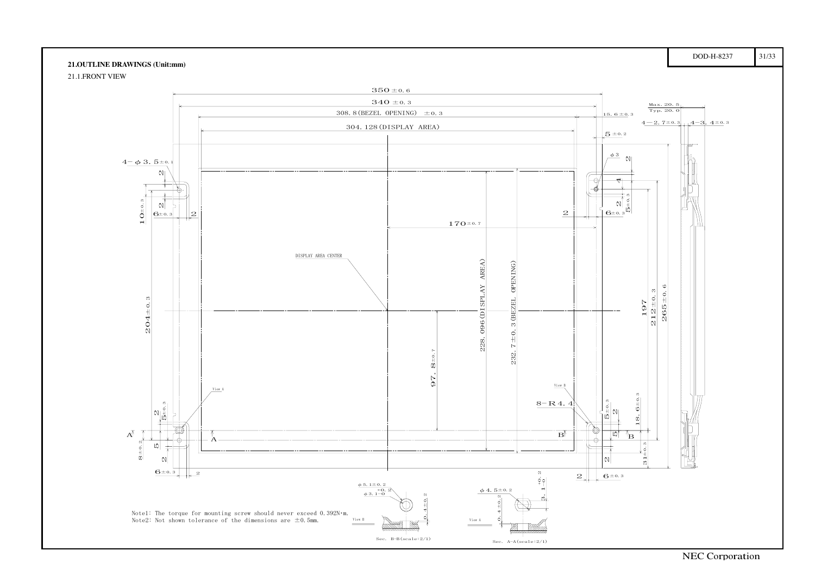#### **21.OUTLINE DRAWINGS (Unit:mm)**

21.1.FRONT VIEW

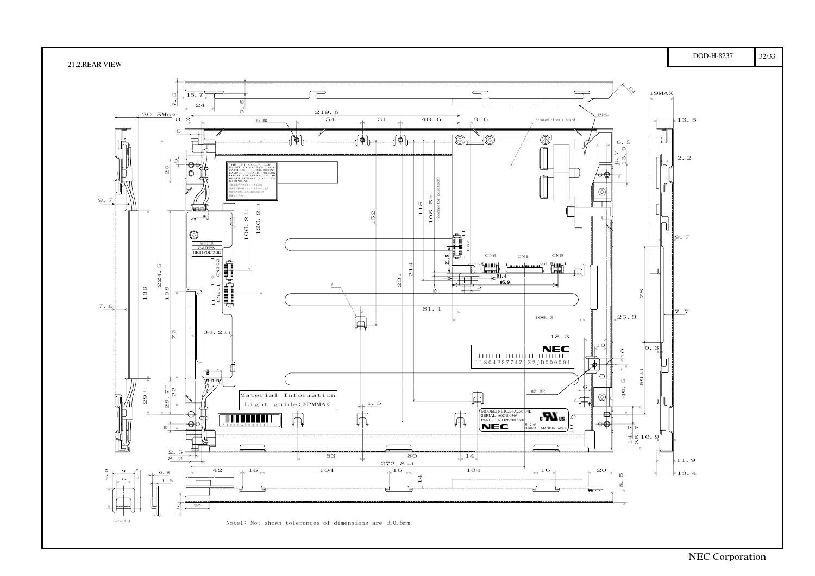